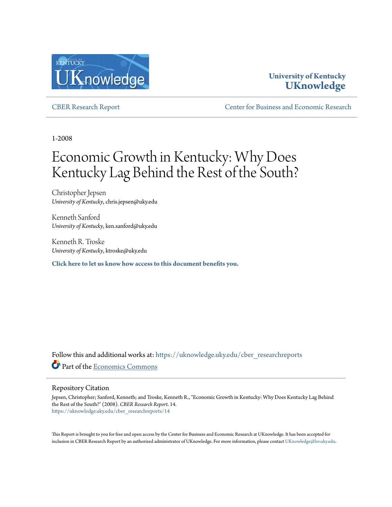

## **University of Kentucky [UKnowledge](https://uknowledge.uky.edu?utm_source=uknowledge.uky.edu%2Fcber_researchreports%2F14&utm_medium=PDF&utm_campaign=PDFCoverPages)**

[CBER Research Report](https://uknowledge.uky.edu/cber_researchreports?utm_source=uknowledge.uky.edu%2Fcber_researchreports%2F14&utm_medium=PDF&utm_campaign=PDFCoverPages) [Center for Business and Economic Research](https://uknowledge.uky.edu/cber?utm_source=uknowledge.uky.edu%2Fcber_researchreports%2F14&utm_medium=PDF&utm_campaign=PDFCoverPages)

1-2008

# Economic Growth in Kentucky: Why Does Kentucky Lag Behind the Rest of the South?

Christopher Jepsen *University of Kentucky*, chris.jepsen@uky.edu

Kenneth Sanford *University of Kentucky*, ken.sanford@uky.edu

Kenneth R. Troske *University of Kentucky*, ktroske@uky.edu

**[Click here to let us know how access to this document benefits you.](https://uky.az1.qualtrics.com/jfe/form/SV_9mq8fx2GnONRfz7)**

Follow this and additional works at: [https://uknowledge.uky.edu/cber\\_researchreports](https://uknowledge.uky.edu/cber_researchreports?utm_source=uknowledge.uky.edu%2Fcber_researchreports%2F14&utm_medium=PDF&utm_campaign=PDFCoverPages) Part of the [Economics Commons](http://network.bepress.com/hgg/discipline/340?utm_source=uknowledge.uky.edu%2Fcber_researchreports%2F14&utm_medium=PDF&utm_campaign=PDFCoverPages)

#### Repository Citation

Jepsen, Christopher; Sanford, Kenneth; and Troske, Kenneth R., "Economic Growth in Kentucky: Why Does Kentucky Lag Behind the Rest of the South?" (2008). *CBER Research Report*. 14. [https://uknowledge.uky.edu/cber\\_researchreports/14](https://uknowledge.uky.edu/cber_researchreports/14?utm_source=uknowledge.uky.edu%2Fcber_researchreports%2F14&utm_medium=PDF&utm_campaign=PDFCoverPages)

This Report is brought to you for free and open access by the Center for Business and Economic Research at UKnowledge. It has been accepted for inclusion in CBER Research Report by an authorized administrator of UKnowledge. For more information, please contact [UKnowledge@lsv.uky.edu.](mailto:UKnowledge@lsv.uky.edu)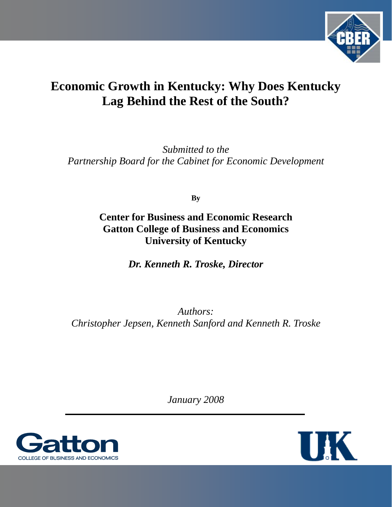

## **Economic Growth in Kentucky: Why Does Kentucky Lag Behind the Rest of the South?**

*Submitted to the Partnership Board for the Cabinet for Economic Development* 

**By** 

## **Center for Business and Economic Research Gatton College of Business and Economics University of Kentucky**

*Dr. Kenneth R. Troske, Director* 

*Authors: Christopher Jepsen, Kenneth Sanford and Kenneth R. Troske* 

*January 2008*



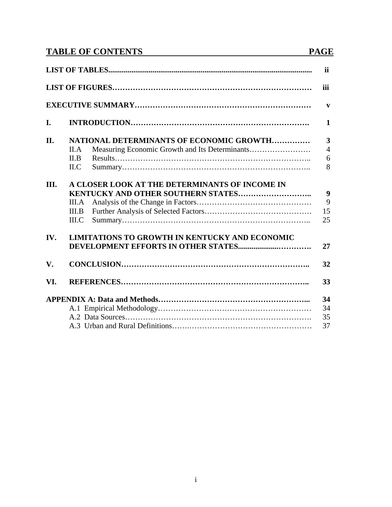## **TABLE OF CONTENTS PAGE**

|      |                                                                           | <b>ii</b>                                           |
|------|---------------------------------------------------------------------------|-----------------------------------------------------|
|      |                                                                           | iii                                                 |
|      |                                                                           | $\mathbf{V}$                                        |
| I.   |                                                                           | 1                                                   |
| II.  | <b>NATIONAL DETERMINANTS OF ECONOMIC GROWTH</b><br>II.A<br>II.B<br>ILC    | $\overline{\mathbf{3}}$<br>$\overline{4}$<br>6<br>8 |
| III. | A CLOSER LOOK AT THE DETERMINANTS OF INCOME IN<br>III.A<br>III.B<br>III.C | 9<br>9<br>15<br>25                                  |
| IV.  | <b>LIMITATIONS TO GROWTH IN KENTUCKY AND ECONOMIC</b>                     | 27                                                  |
| V.   |                                                                           | 32                                                  |
| VI.  |                                                                           | 33                                                  |
|      |                                                                           | 34<br>34<br>35<br>37                                |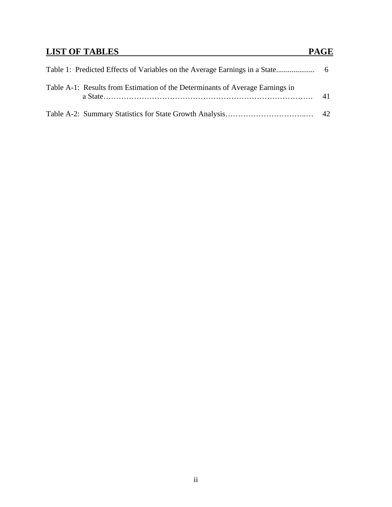## **LIST OF TABLES** PAGE

| Table A-1: Results from Estimation of the Determinants of Average Earnings in | 41 |
|-------------------------------------------------------------------------------|----|
|                                                                               |    |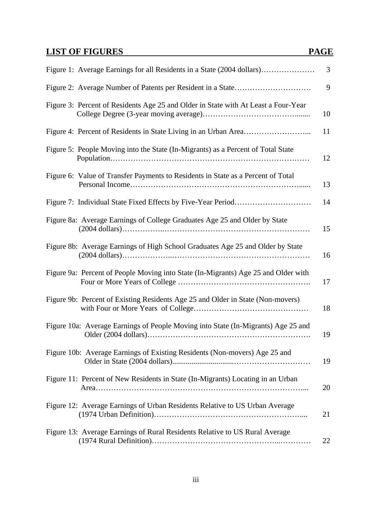## **LIST OF FIGURES** PAGE

|                                                                                    | 3  |
|------------------------------------------------------------------------------------|----|
|                                                                                    | 9  |
| Figure 3: Percent of Residents Age 25 and Older in State with At Least a Four-Year | 10 |
|                                                                                    | 11 |
| Figure 5: People Moving into the State (In-Migrants) as a Percent of Total State   | 12 |
| Figure 6: Value of Transfer Payments to Residents in State as a Percent of Total   | 13 |
|                                                                                    | 14 |
| Figure 8a: Average Earnings of College Graduates Age 25 and Older by State         | 15 |
| Figure 8b: Average Earnings of High School Graduates Age 25 and Older by State     | 16 |
| Figure 9a: Percent of People Moving into State (In-Migrants) Age 25 and Older with | 17 |
| Figure 9b: Percent of Existing Residents Age 25 and Older in State (Non-movers)    | 18 |
| Figure 10a: Average Earnings of People Moving into State (In-Migrants) Age 25 and  | 19 |
| Figure 10b: Average Earnings of Existing Residents (Non-movers) Age 25 and         | 19 |
| Figure 11: Percent of New Residents in State (In-Migrants) Locating in an Urban    | 20 |
| Figure 12: Average Earnings of Urban Residents Relative to US Urban Average        | 21 |
| Figure 13: Average Earnings of Rural Residents Relative to US Rural Average        | 22 |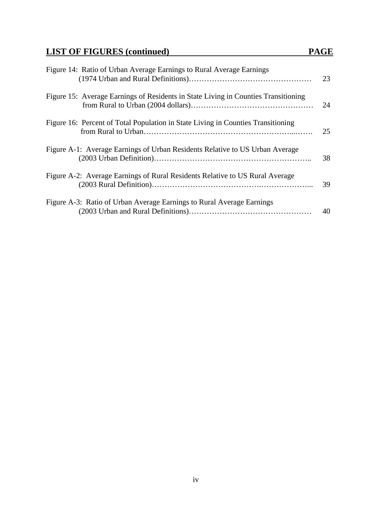| Figure 14: Ratio of Urban Average Earnings to Rural Average Earnings               | 23 |
|------------------------------------------------------------------------------------|----|
| Figure 15: Average Earnings of Residents in State Living in Counties Transitioning | 24 |
| Figure 16: Percent of Total Population in State Living in Counties Transitioning   | 25 |
| Figure A-1: Average Earnings of Urban Residents Relative to US Urban Average       | 38 |
| Figure A-2: Average Earnings of Rural Residents Relative to US Rural Average       | 39 |
| Figure A-3: Ratio of Urban Average Earnings to Rural Average Earnings              | 40 |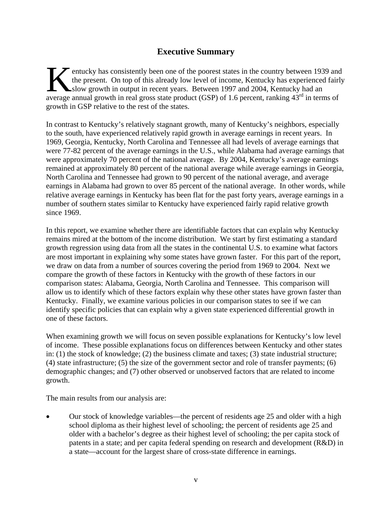## **Executive Summary**

entucky has consistently been one of the poorest states in the country between 1939 and the present. On top of this already low level of income, Kentucky has experienced fairly slow growth in output in recent years. Between 1997 and 2004, Kentucky had an average annual growth in real gross state product (GSP) of 1.6 percent, ranking 43<sup>rd</sup> in terms of annual growth in real gross state product (GSP) of 1.6 percent, ranking 43<sup>rd</sup> in terms of growth in GSP relative to the rest of the states.

In contrast to Kentucky's relatively stagnant growth, many of Kentucky's neighbors, especially to the south, have experienced relatively rapid growth in average earnings in recent years. In 1969, Georgia, Kentucky, North Carolina and Tennessee all had levels of average earnings that were 77-82 percent of the average earnings in the U.S., while Alabama had average earnings that were approximately 70 percent of the national average. By 2004, Kentucky's average earnings remained at approximately 80 percent of the national average while average earnings in Georgia, North Carolina and Tennessee had grown to 90 percent of the national average, and average earnings in Alabama had grown to over 85 percent of the national average. In other words, while relative average earnings in Kentucky has been flat for the past forty years, average earnings in a number of southern states similar to Kentucky have experienced fairly rapid relative growth since 1969.

In this report, we examine whether there are identifiable factors that can explain why Kentucky remains mired at the bottom of the income distribution. We start by first estimating a standard growth regression using data from all the states in the continental U.S. to examine what factors are most important in explaining why some states have grown faster. For this part of the report, we draw on data from a number of sources covering the period from 1969 to 2004. Next we compare the growth of these factors in Kentucky with the growth of these factors in our comparison states: Alabama, Georgia, North Carolina and Tennessee. This comparison will allow us to identify which of these factors explain why these other states have grown faster than Kentucky. Finally, we examine various policies in our comparison states to see if we can identify specific policies that can explain why a given state experienced differential growth in one of these factors.

When examining growth we will focus on seven possible explanations for Kentucky's low level of income. These possible explanations focus on differences between Kentucky and other states in: (1) the stock of knowledge; (2) the business climate and taxes; (3) state industrial structure; (4) state infrastructure; (5) the size of the government sector and role of transfer payments; (6) demographic changes; and (7) other observed or unobserved factors that are related to income growth.

The main results from our analysis are:

• Our stock of knowledge variables—the percent of residents age 25 and older with a high school diploma as their highest level of schooling; the percent of residents age 25 and older with a bachelor's degree as their highest level of schooling; the per capita stock of patents in a state; and per capita federal spending on research and development (R&D) in a state—account for the largest share of cross-state difference in earnings.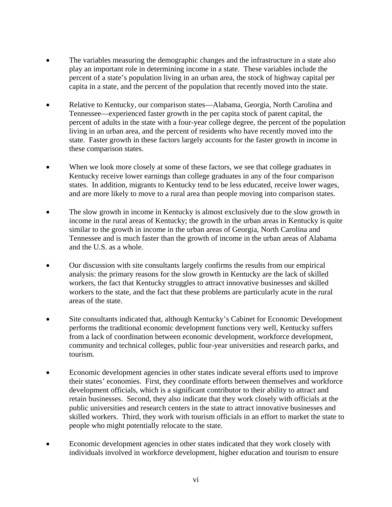- The variables measuring the demographic changes and the infrastructure in a state also play an important role in determining income in a state. These variables include the percent of a state's population living in an urban area, the stock of highway capital per capita in a state, and the percent of the population that recently moved into the state.
- Relative to Kentucky, our comparison states—Alabama, Georgia, North Carolina and Tennessee—experienced faster growth in the per capita stock of patent capital, the percent of adults in the state with a four-year college degree, the percent of the population living in an urban area, and the percent of residents who have recently moved into the state. Faster growth in these factors largely accounts for the faster growth in income in these comparison states.
- When we look more closely at some of these factors, we see that college graduates in Kentucky receive lower earnings than college graduates in any of the four comparison states. In addition, migrants to Kentucky tend to be less educated, receive lower wages, and are more likely to move to a rural area than people moving into comparison states.
- The slow growth in income in Kentucky is almost exclusively due to the slow growth in income in the rural areas of Kentucky; the growth in the urban areas in Kentucky is quite similar to the growth in income in the urban areas of Georgia, North Carolina and Tennessee and is much faster than the growth of income in the urban areas of Alabama and the U.S. as a whole.
- Our discussion with site consultants largely confirms the results from our empirical analysis: the primary reasons for the slow growth in Kentucky are the lack of skilled workers, the fact that Kentucky struggles to attract innovative businesses and skilled workers to the state, and the fact that these problems are particularly acute in the rural areas of the state.
- Site consultants indicated that, although Kentucky's Cabinet for Economic Development performs the traditional economic development functions very well, Kentucky suffers from a lack of coordination between economic development, workforce development, community and technical colleges, public four-year universities and research parks, and tourism.
- Economic development agencies in other states indicate several efforts used to improve their states' economies. First, they coordinate efforts between themselves and workforce development officials, which is a significant contributor to their ability to attract and retain businesses. Second, they also indicate that they work closely with officials at the public universities and research centers in the state to attract innovative businesses and skilled workers. Third, they work with tourism officials in an effort to market the state to people who might potentially relocate to the state.
- Economic development agencies in other states indicated that they work closely with individuals involved in workforce development, higher education and tourism to ensure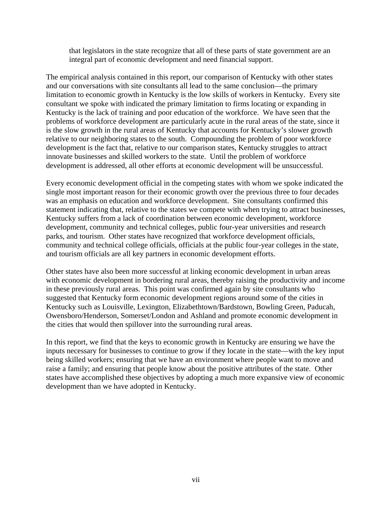that legislators in the state recognize that all of these parts of state government are an integral part of economic development and need financial support.

The empirical analysis contained in this report, our comparison of Kentucky with other states and our conversations with site consultants all lead to the same conclusion—the primary limitation to economic growth in Kentucky is the low skills of workers in Kentucky. Every site consultant we spoke with indicated the primary limitation to firms locating or expanding in Kentucky is the lack of training and poor education of the workforce. We have seen that the problems of workforce development are particularly acute in the rural areas of the state, since it is the slow growth in the rural areas of Kentucky that accounts for Kentucky's slower growth relative to our neighboring states to the south. Compounding the problem of poor workforce development is the fact that, relative to our comparison states, Kentucky struggles to attract innovate businesses and skilled workers to the state. Until the problem of workforce development is addressed, all other efforts at economic development will be unsuccessful.

Every economic development official in the competing states with whom we spoke indicated the single most important reason for their economic growth over the previous three to four decades was an emphasis on education and workforce development. Site consultants confirmed this statement indicating that, relative to the states we compete with when trying to attract businesses, Kentucky suffers from a lack of coordination between economic development, workforce development, community and technical colleges, public four-year universities and research parks, and tourism. Other states have recognized that workforce development officials, community and technical college officials, officials at the public four-year colleges in the state, and tourism officials are all key partners in economic development efforts.

Other states have also been more successful at linking economic development in urban areas with economic development in bordering rural areas, thereby raising the productivity and income in these previously rural areas. This point was confirmed again by site consultants who suggested that Kentucky form economic development regions around some of the cities in Kentucky such as Louisville, Lexington, Elizabethtown/Bardstown, Bowling Green, Paducah, Owensboro/Henderson, Somerset/London and Ashland and promote economic development in the cities that would then spillover into the surrounding rural areas.

In this report, we find that the keys to economic growth in Kentucky are ensuring we have the inputs necessary for businesses to continue to grow if they locate in the state—with the key input being skilled workers; ensuring that we have an environment where people want to move and raise a family; and ensuring that people know about the positive attributes of the state. Other states have accomplished these objectives by adopting a much more expansive view of economic development than we have adopted in Kentucky.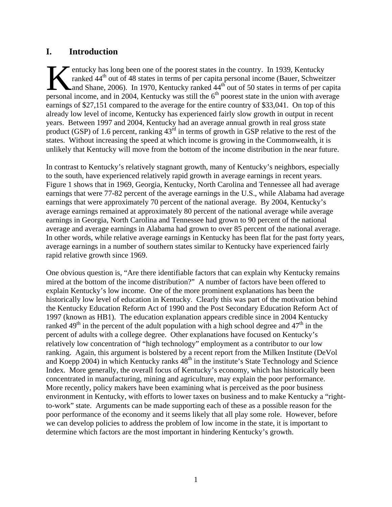### **I. Introduction**

entucky has long been one of the poorest states in the country. In 1939, Kentucky ranked 44<sup>th</sup> out of 48 states in terms of per capita personal income (Bauer, Schweitzer And Shane, 2006). In 1970, Kentucky ranked 44<sup>th</sup> out of 50 states in terms of per capita entucky has long been one of the poorest states in the country. In 1939, Kentucky ranked 44<sup>th</sup> out of 48 states in terms of per capita personal income (Bauer, Schweitzer and Shane, 2006). In 1970, Kentucky ranked 44<sup>th</sup> o earnings of \$27,151 compared to the average for the entire country of \$33,041. On top of this already low level of income, Kentucky has experienced fairly slow growth in output in recent years. Between 1997 and 2004, Kentucky had an average annual growth in real gross state product (GSP) of 1.6 percent, ranking  $43<sup>rd</sup>$  in terms of growth in GSP relative to the rest of the states. Without increasing the speed at which income is growing in the Commonwealth, it is unlikely that Kentucky will move from the bottom of the income distribution in the near future.

In contrast to Kentucky's relatively stagnant growth, many of Kentucky's neighbors, especially to the south, have experienced relatively rapid growth in average earnings in recent years. Figure 1 shows that in 1969, Georgia, Kentucky, North Carolina and Tennessee all had average earnings that were 77-82 percent of the average earnings in the U.S., while Alabama had average earnings that were approximately 70 percent of the national average. By 2004, Kentucky's average earnings remained at approximately 80 percent of the national average while average earnings in Georgia, North Carolina and Tennessee had grown to 90 percent of the national average and average earnings in Alabama had grown to over 85 percent of the national average. In other words, while relative average earnings in Kentucky has been flat for the past forty years, average earnings in a number of southern states similar to Kentucky have experienced fairly rapid relative growth since 1969.

One obvious question is, "Are there identifiable factors that can explain why Kentucky remains mired at the bottom of the income distribution?" A number of factors have been offered to explain Kentucky's low income. One of the more prominent explanations has been the historically low level of education in Kentucky. Clearly this was part of the motivation behind the Kentucky Education Reform Act of 1990 and the Post Secondary Education Reform Act of 1997 (known as HB1). The education explanation appears credible since in 2004 Kentucky ranked  $49<sup>th</sup>$  in the percent of the adult population with a high school degree and  $47<sup>th</sup>$  in the percent of adults with a college degree. Other explanations have focused on Kentucky's relatively low concentration of "high technology" employment as a contributor to our low ranking. Again, this argument is bolstered by a recent report from the Milken Institute (DeVol and Koepp 2004) in which Kentucky ranks  $48<sup>th</sup>$  in the institute's State Technology and Science Index. More generally, the overall focus of Kentucky's economy, which has historically been concentrated in manufacturing, mining and agriculture, may explain the poor performance. More recently, policy makers have been examining what is perceived as the poor business environment in Kentucky, with efforts to lower taxes on business and to make Kentucky a "rightto-work" state. Arguments can be made supporting each of these as a possible reason for the poor performance of the economy and it seems likely that all play some role. However, before we can develop policies to address the problem of low income in the state, it is important to determine which factors are the most important in hindering Kentucky's growth.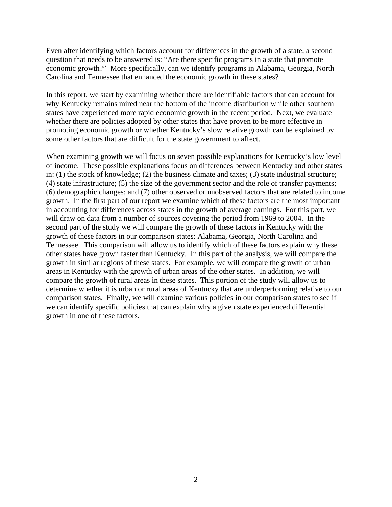Even after identifying which factors account for differences in the growth of a state, a second question that needs to be answered is: "Are there specific programs in a state that promote economic growth?" More specifically, can we identify programs in Alabama, Georgia, North Carolina and Tennessee that enhanced the economic growth in these states?

In this report, we start by examining whether there are identifiable factors that can account for why Kentucky remains mired near the bottom of the income distribution while other southern states have experienced more rapid economic growth in the recent period. Next, we evaluate whether there are policies adopted by other states that have proven to be more effective in promoting economic growth or whether Kentucky's slow relative growth can be explained by some other factors that are difficult for the state government to affect.

When examining growth we will focus on seven possible explanations for Kentucky's low level of income. These possible explanations focus on differences between Kentucky and other states in: (1) the stock of knowledge; (2) the business climate and taxes; (3) state industrial structure; (4) state infrastructure; (5) the size of the government sector and the role of transfer payments; (6) demographic changes; and (7) other observed or unobserved factors that are related to income growth. In the first part of our report we examine which of these factors are the most important in accounting for differences across states in the growth of average earnings. For this part, we will draw on data from a number of sources covering the period from 1969 to 2004. In the second part of the study we will compare the growth of these factors in Kentucky with the growth of these factors in our comparison states: Alabama, Georgia, North Carolina and Tennessee. This comparison will allow us to identify which of these factors explain why these other states have grown faster than Kentucky. In this part of the analysis, we will compare the growth in similar regions of these states. For example, we will compare the growth of urban areas in Kentucky with the growth of urban areas of the other states. In addition, we will compare the growth of rural areas in these states. This portion of the study will allow us to determine whether it is urban or rural areas of Kentucky that are underperforming relative to our comparison states. Finally, we will examine various policies in our comparison states to see if we can identify specific policies that can explain why a given state experienced differential growth in one of these factors.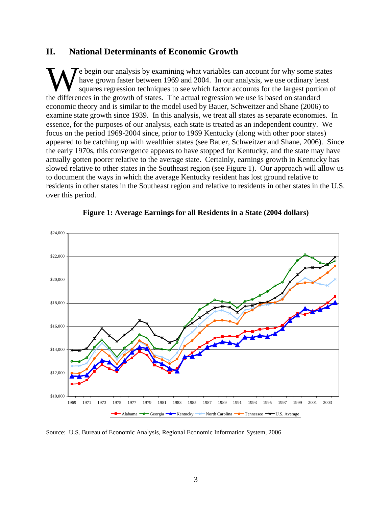#### **II. National Determinants of Economic Growth**

e begin our analysis by examining what variables can account for why some states have grown faster between 1969 and 2004. In our analysis, we use ordinary least squares regression techniques to see which factor accounts for the largest portion of We begin our analysis by examining what variables can account for why some state have grown faster between 1969 and 2004. In our analysis, we use ordinary leads a squares regression techniques to see which factor accounts economic theory and is similar to the model used by Bauer, Schweitzer and Shane (2006) to examine state growth since 1939. In this analysis, we treat all states as separate economies. In essence, for the purposes of our analysis, each state is treated as an independent country. We focus on the period 1969-2004 since, prior to 1969 Kentucky (along with other poor states) appeared to be catching up with wealthier states (see Bauer, Schweitzer and Shane, 2006). Since the early 1970s, this convergence appears to have stopped for Kentucky, and the state may have actually gotten poorer relative to the average state. Certainly, earnings growth in Kentucky has slowed relative to other states in the Southeast region (see Figure 1). Our approach will allow us to document the ways in which the average Kentucky resident has lost ground relative to residents in other states in the Southeast region and relative to residents in other states in the U.S. over this period.



#### **Figure 1: Average Earnings for all Residents in a State (2004 dollars)**

Source: U.S. Bureau of Economic Analysis, Regional Economic Information System, 2006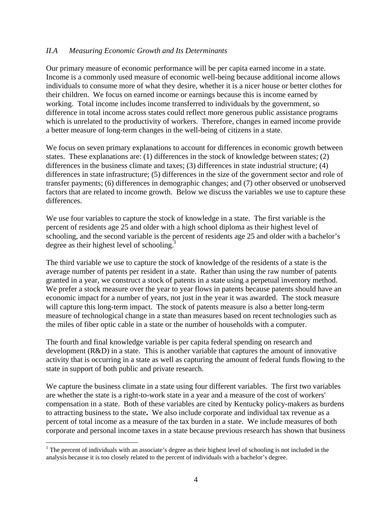#### *II.A Measuring Economic Growth and Its Determinants*

Our primary measure of economic performance will be per capita earned income in a state. Income is a commonly used measure of economic well-being because additional income allows individuals to consume more of what they desire, whether it is a nicer house or better clothes for their children. We focus on earned income or earnings because this is income earned by working. Total income includes income transferred to individuals by the government, so difference in total income across states could reflect more generous public assistance programs which is unrelated to the productivity of workers. Therefore, changes in earned income provide a better measure of long-term changes in the well-being of citizens in a state.

We focus on seven primary explanations to account for differences in economic growth between states. These explanations are: (1) differences in the stock of knowledge between states; (2) differences in the business climate and taxes; (3) differences in state industrial structure; (4) differences in state infrastructure; (5) differences in the size of the government sector and role of transfer payments; (6) differences in demographic changes; and (7) other observed or unobserved factors that are related to income growth. Below we discuss the variables we use to capture these differences.

We use four variables to capture the stock of knowledge in a state. The first variable is the percent of residents age 25 and older with a high school diploma as their highest level of schooling, and the second variable is the percent of residents age 25 and older with a bachelor's degree as their highest level of schooling.<sup>1</sup>

The third variable we use to capture the stock of knowledge of the residents of a state is the average number of patents per resident in a state. Rather than using the raw number of patents granted in a year, we construct a stock of patents in a state using a perpetual inventory method. We prefer a stock measure over the year to year flows in patents because patents should have an economic impact for a number of years, not just in the year it was awarded. The stock measure will capture this long-term impact. The stock of patents measure is also a better long-term measure of technological change in a state than measures based on recent technologies such as the miles of fiber optic cable in a state or the number of households with a computer.

The fourth and final knowledge variable is per capita federal spending on research and development (R&D) in a state. This is another variable that captures the amount of innovative activity that is occurring in a state as well as capturing the amount of federal funds flowing to the state in support of both public and private research.

We capture the business climate in a state using four different variables. The first two variables are whether the state is a right-to-work state in a year and a measure of the cost of workers' compensation in a state. Both of these variables are cited by Kentucky policy-makers as burdens to attracting business to the state**.** We also include corporate and individual tax revenue as a percent of total income as a measure of the tax burden in a state. We include measures of both corporate and personal income taxes in a state because previous research has shown that business

 $\overline{a}$ 

 $1$ <sup>1</sup> The percent of individuals with an associate's degree as their highest level of schooling is not included in the analysis because it is too closely related to the percent of individuals with a bachelor's degree.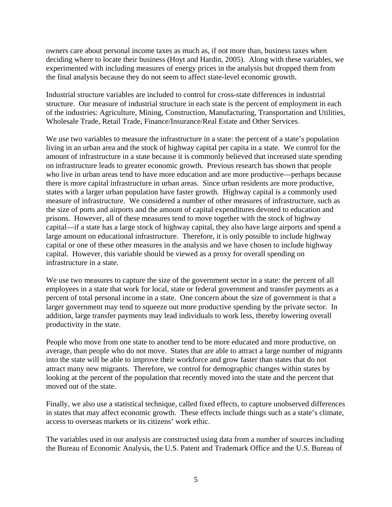owners care about personal income taxes as much as, if not more than, business taxes when deciding where to locate their business (Hoyt and Hardin, 2005). Along with these variables, we experimented with including measures of energy prices in the analysis but dropped them from the final analysis because they do not seem to affect state-level economic growth.

Industrial structure variables are included to control for cross-state differences in industrial structure. Our measure of industrial structure in each state is the percent of employment in each of the industries: Agriculture, Mining, Construction, Manufacturing, Transportation and Utilities, Wholesale Trade, Retail Trade, Finance/Insurance/Real Estate and Other Services.

We use two variables to measure the infrastructure in a state: the percent of a state's population living in an urban area and the stock of highway capital per capita in a state. We control for the amount of infrastructure in a state because it is commonly believed that increased state spending on infrastructure leads to greater economic growth. Previous research has shown that people who live in urban areas tend to have more education and are more productive—perhaps because there is more capital infrastructure in urban areas. Since urban residents are more productive, states with a larger urban population have faster growth. Highway capital is a commonly used measure of infrastructure. We considered a number of other measures of infrastructure, such as the size of ports and airports and the amount of capital expenditures devoted to education and prisons. However, all of these measures tend to move together with the stock of highway capital—if a state has a large stock of highway capital, they also have large airports and spend a large amount on educational infrastructure. Therefore, it is only possible to include highway capital or one of these other measures in the analysis and we have chosen to include highway capital. However, this variable should be viewed as a proxy for overall spending on infrastructure in a state.

We use two measures to capture the size of the government sector in a state: the percent of all employees in a state that work for local, state or federal government and transfer payments as a percent of total personal income in a state. One concern about the size of government is that a larger government may tend to squeeze out more productive spending by the private sector. In addition, large transfer payments may lead individuals to work less, thereby lowering overall productivity in the state.

People who move from one state to another tend to be more educated and more productive, on average, than people who do not move. States that are able to attract a large number of migrants into the state will be able to improve their workforce and grow faster than states that do not attract many new migrants. Therefore, we control for demographic changes within states by looking at the percent of the population that recently moved into the state and the percent that moved out of the state.

Finally, we also use a statistical technique, called fixed effects, to capture unobserved differences in states that may affect economic growth. These effects include things such as a state's climate, access to overseas markets or its citizens' work ethic.

The variables used in our analysis are constructed using data from a number of sources including the Bureau of Economic Analysis, the U.S. Patent and Trademark Office and the U.S. Bureau of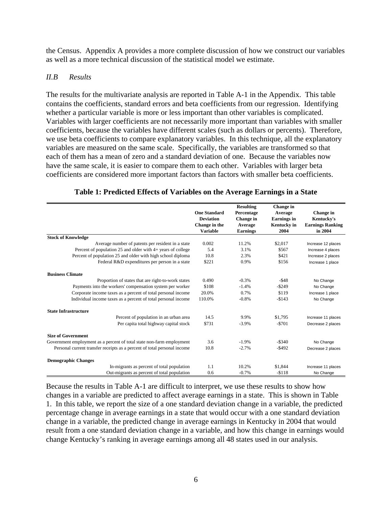the Census. Appendix A provides a more complete discussion of how we construct our variables as well as a more technical discussion of the statistical model we estimate.

#### *II.B Results*

The results for the multivariate analysis are reported in Table A-1 in the Appendix. This table contains the coefficients, standard errors and beta coefficients from our regression. Identifying whether a particular variable is more or less important than other variables is complicated. Variables with larger coefficients are not necessarily more important than variables with smaller coefficients, because the variables have different scales (such as dollars or percents). Therefore, we use beta coefficients to compare explanatory variables. In this technique, all the explanatory variables are measured on the same scale. Specifically, the variables are transformed so that each of them has a mean of zero and a standard deviation of one. Because the variables now have the same scale, it is easier to compare them to each other. Variables with larger beta coefficients are considered more important factors than factors with smaller beta coefficients.

|                                                                          |                     | <b>Resulting</b> | <b>Change</b> in   |                         |
|--------------------------------------------------------------------------|---------------------|------------------|--------------------|-------------------------|
|                                                                          | <b>One Standard</b> | Percentage       | Average            | Change in               |
|                                                                          | <b>Deviation</b>    | Change in        | <b>Earnings</b> in | Kentucky's              |
|                                                                          | Change in the       | Average          | Kentucky in        | <b>Earnings Ranking</b> |
|                                                                          | <b>Variable</b>     | <b>Earnings</b>  | 2004               | in 2004                 |
| <b>Stock of Knowledge</b>                                                |                     |                  |                    |                         |
| Average number of patents per resident in a state                        | 0.002               | 11.2%            | \$2,017            | Increase 12 places      |
| Percent of population $25$ and older with $4+$ years of college          | 5.4                 | 3.1%             | \$567              | Increase 4 places       |
| Percent of population 25 and older with high school diploma              | 10.8                | 2.3%             | \$421              | Increase 2 places       |
| Federal R&D expenditures per person in a state                           | \$221               | 0.9%             | \$156              | Increase 1 place        |
| <b>Business Climate</b>                                                  |                     |                  |                    |                         |
| Proportion of states that are right-to-work states                       | 0.490               | $-0.3%$          | $-$ \$48           | No Change               |
| Payments into the workers' compensation system per worker                | \$108               | $-1.4%$          | $-$ \$249          | No Change               |
| Corporate income taxes as a percent of total personal income             | 20.0%               | 0.7%             | \$119              | Increase 1 place        |
| Individual income taxes as a percent of total personal income            | 110.0%              | $-0.8%$          | $-$143$            | No Change               |
| <b>State Infrastructure</b>                                              |                     |                  |                    |                         |
| Percent of population in an urban area                                   | 14.5                | 9.9%             | \$1,795            | Increase 11 places      |
| Per capita total highway capital stock                                   | \$731               | $-3.9%$          | $-5701$            | Decrease 2 places       |
| <b>Size of Government</b>                                                |                     |                  |                    |                         |
| Government employment as a percent of total state non-farm employment    | 3.6                 | $-1.9%$          | $-$ \$340          | No Change               |
| Personal current transfer receipts as a percent of total personal income | 10.8                | $-2.7%$          | $-$ \$492          | Decrease 2 places       |
| <b>Demographic Changes</b>                                               |                     |                  |                    |                         |
| In-migrants as percent of total population                               | 1.1                 | 10.2%            | \$1.844            | Increase 11 places      |
| Out-migrants as percent of total population                              | 0.6                 | $-0.7%$          | $- $118$           | No Change               |

#### **Table 1: Predicted Effects of Variables on the Average Earnings in a State**

Because the results in Table A-1 are difficult to interpret, we use these results to show how changes in a variable are predicted to affect average earnings in a state. This is shown in Table 1. In this table, we report the size of a one standard deviation change in a variable, the predicted percentage change in average earnings in a state that would occur with a one standard deviation change in a variable, the predicted change in average earnings in Kentucky in 2004 that would result from a one standard deviation change in a variable, and how this change in earnings would change Kentucky's ranking in average earnings among all 48 states used in our analysis.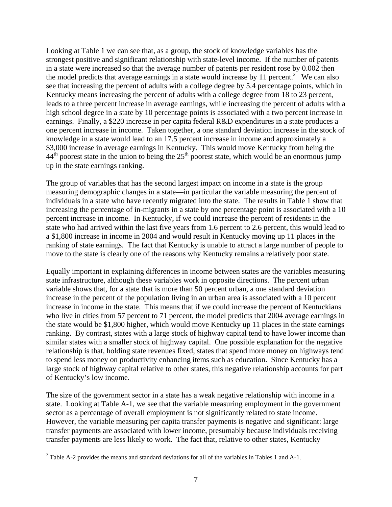Looking at Table 1 we can see that, as a group, the stock of knowledge variables has the strongest positive and significant relationship with state-level income. If the number of patents in a state were increased so that the average number of patents per resident rose by 0.002 then the model predicts that average earnings in a state would increase by 11 percent.<sup>2</sup> We can also see that increasing the percent of adults with a college degree by 5.4 percentage points, which in Kentucky means increasing the percent of adults with a college degree from 18 to 23 percent, leads to a three percent increase in average earnings, while increasing the percent of adults with a high school degree in a state by 10 percentage points is associated with a two percent increase in earnings. Finally, a \$220 increase in per capita federal R&D expenditures in a state produces a one percent increase in income. Taken together, a one standard deviation increase in the stock of knowledge in a state would lead to an 17.5 percent increase in income and approximately a \$3,000 increase in average earnings in Kentucky. This would move Kentucky from being the  $44<sup>th</sup>$  poorest state in the union to being the 25<sup>th</sup> poorest state, which would be an enormous jump up in the state earnings ranking.

The group of variables that has the second largest impact on income in a state is the group measuring demographic changes in a state—in particular the variable measuring the percent of individuals in a state who have recently migrated into the state. The results in Table 1 show that increasing the percentage of in-migrants in a state by one percentage point is associated with a 10 percent increase in income. In Kentucky, if we could increase the percent of residents in the state who had arrived within the last five years from 1.6 percent to 2.6 percent, this would lead to a \$1,800 increase in income in 2004 and would result in Kentucky moving up 11 places in the ranking of state earnings. The fact that Kentucky is unable to attract a large number of people to move to the state is clearly one of the reasons why Kentucky remains a relatively poor state.

Equally important in explaining differences in income between states are the variables measuring state infrastructure, although these variables work in opposite directions. The percent urban variable shows that, for a state that is more than 50 percent urban, a one standard deviation increase in the percent of the population living in an urban area is associated with a 10 percent increase in income in the state. This means that if we could increase the percent of Kentuckians who live in cities from 57 percent to 71 percent, the model predicts that 2004 average earnings in the state would be \$1,800 higher, which would move Kentucky up 11 places in the state earnings ranking. By contrast, states with a large stock of highway capital tend to have lower income than similar states with a smaller stock of highway capital. One possible explanation for the negative relationship is that, holding state revenues fixed, states that spend more money on highways tend to spend less money on productivity enhancing items such as education. Since Kentucky has a large stock of highway capital relative to other states, this negative relationship accounts for part of Kentucky's low income.

The size of the government sector in a state has a weak negative relationship with income in a state. Looking at Table A-1, we see that the variable measuring employment in the government sector as a percentage of overall employment is not significantly related to state income. However, the variable measuring per capita transfer payments is negative and significant: large transfer payments are associated with lower income, presumably because individuals receiving transfer payments are less likely to work. The fact that, relative to other states, Kentucky

 $\overline{a}$ 

<sup>&</sup>lt;sup>2</sup> Table A-2 provides the means and standard deviations for all of the variables in Tables 1 and A-1.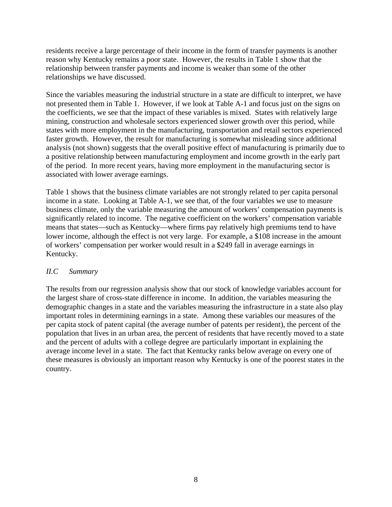residents receive a large percentage of their income in the form of transfer payments is another reason why Kentucky remains a poor state. However, the results in Table 1 show that the relationship between transfer payments and income is weaker than some of the other relationships we have discussed.

Since the variables measuring the industrial structure in a state are difficult to interpret, we have not presented them in Table 1. However, if we look at Table A-1 and focus just on the signs on the coefficients, we see that the impact of these variables is mixed. States with relatively large mining, construction and wholesale sectors experienced slower growth over this period, while states with more employment in the manufacturing, transportation and retail sectors experienced faster growth. However, the result for manufacturing is somewhat misleading since additional analysis (not shown) suggests that the overall positive effect of manufacturing is primarily due to a positive relationship between manufacturing employment and income growth in the early part of the period. In more recent years, having more employment in the manufacturing sector is associated with lower average earnings.

Table 1 shows that the business climate variables are not strongly related to per capita personal income in a state. Looking at Table A-1, we see that, of the four variables we use to measure business climate, only the variable measuring the amount of workers' compensation payments is significantly related to income. The negative coefficient on the workers' compensation variable means that states—such as Kentucky—where firms pay relatively high premiums tend to have lower income, although the effect is not very large. For example, a \$108 increase in the amount of workers' compensation per worker would result in a \$249 fall in average earnings in Kentucky.

#### *II.C Summary*

The results from our regression analysis show that our stock of knowledge variables account for the largest share of cross-state difference in income. In addition, the variables measuring the demographic changes in a state and the variables measuring the infrastructure in a state also play important roles in determining earnings in a state. Among these variables our measures of the per capita stock of patent capital (the average number of patents per resident), the percent of the population that lives in an urban area, the percent of residents that have recently moved to a state and the percent of adults with a college degree are particularly important in explaining the average income level in a state. The fact that Kentucky ranks below average on every one of these measures is obviously an important reason why Kentucky is one of the poorest states in the country.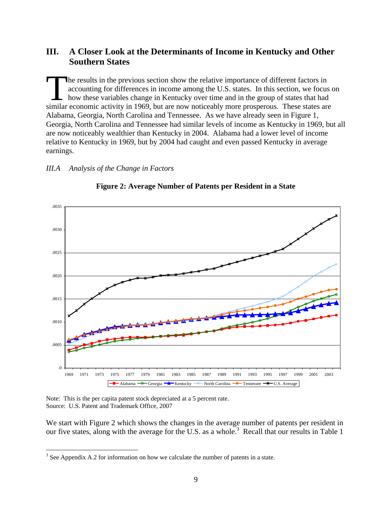### **III. A Closer Look at the Determinants of Income in Kentucky and Other Southern States**

he results in the previous section show the relative importance of different factors in accounting for differences in income among the U.S. states. In this section, we focus on how these variables change in Kentucky over time and in the group of states that had The results in the previous section show the relative importance of different factors in accounting for differences in income among the U.S. states. In this section, we focus are how these variables change in Kentucky over Alabama, Georgia, North Carolina and Tennessee. As we have already seen in Figure 1, Georgia, North Carolina and Tennessee had similar levels of income as Kentucky in 1969, but all are now noticeably wealthier than Kentucky in 2004. Alabama had a lower level of income relative to Kentucky in 1969, but by 2004 had caught and even passed Kentucky in average earnings.

#### *III.A Analysis of the Change in Factors*



#### **Figure 2: Average Number of Patents per Resident in a State**

Note: This is the per capita patent stock depreciated at a 5 percent rate. Source: U.S. Patent and Trademark Office, 2007

 $\overline{a}$ 

We start with Figure 2 which shows the changes in the average number of patents per resident in our five states, along with the average for the U.S. as a whole.<sup>3</sup> Recall that our results in Table 1

 $3$  See Appendix A.2 for information on how we calculate the number of patents in a state.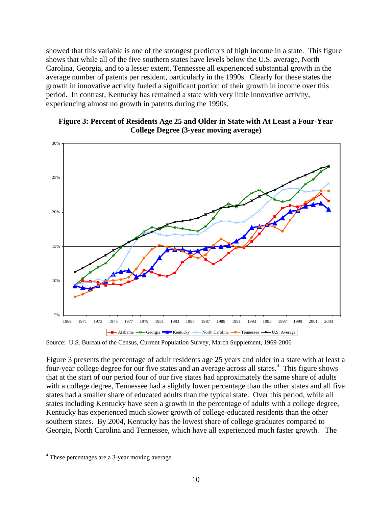showed that this variable is one of the strongest predictors of high income in a state. This figure shows that while all of the five southern states have levels below the U.S. average, North Carolina, Georgia, and to a lesser extent, Tennessee all experienced substantial growth in the average number of patents per resident, particularly in the 1990s. Clearly for these states the growth in innovative activity fueled a significant portion of their growth in income over this period. In contrast, Kentucky has remained a state with very little innovative activity, experiencing almost no growth in patents during the 1990s.

#### **Figure 3: Percent of Residents Age 25 and Older in State with At Least a Four-Year College Degree (3-year moving average)**



Source: U.S. Bureau of the Census, Current Population Survey, March Supplement, 1969-2006

Figure 3 presents the percentage of adult residents age 25 years and older in a state with at least a four-year college degree for our five states and an average across all states.<sup>4</sup> This figure shows that at the start of our period four of our five states had approximately the same share of adults with a college degree, Tennessee had a slightly lower percentage than the other states and all five states had a smaller share of educated adults than the typical state. Over this period, while all states including Kentucky have seen a growth in the percentage of adults with a college degree, Kentucky has experienced much slower growth of college-educated residents than the other southern states. By 2004, Kentucky has the lowest share of college graduates compared to Georgia, North Carolina and Tennessee, which have all experienced much faster growth. The

 $\overline{a}$ 

<sup>&</sup>lt;sup>4</sup> These percentages are a 3-year moving average.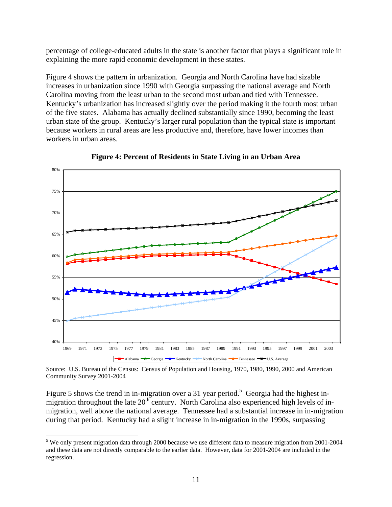percentage of college-educated adults in the state is another factor that plays a significant role in explaining the more rapid economic development in these states.

Figure 4 shows the pattern in urbanization. Georgia and North Carolina have had sizable increases in urbanization since 1990 with Georgia surpassing the national average and North Carolina moving from the least urban to the second most urban and tied with Tennessee. Kentucky's urbanization has increased slightly over the period making it the fourth most urban of the five states. Alabama has actually declined substantially since 1990, becoming the least urban state of the group. Kentucky's larger rural population than the typical state is important because workers in rural areas are less productive and, therefore, have lower incomes than workers in urban areas.



**Figure 4: Percent of Residents in State Living in an Urban Area** 

Source: U.S. Bureau of the Census: Census of Population and Housing, 1970, 1980, 1990, 2000 and American Community Survey 2001-2004

Figure 5 shows the trend in in-migration over a 31 year period.<sup>5</sup> Georgia had the highest inmigration throughout the late  $20<sup>th</sup>$  century. North Carolina also experienced high levels of inmigration, well above the national average. Tennessee had a substantial increase in in-migration during that period. Kentucky had a slight increase in in-migration in the 1990s, surpassing

 $\overline{a}$ 

<sup>&</sup>lt;sup>5</sup> We only present migration data through 2000 because we use different data to measure migration from 2001-2004 and these data are not directly comparable to the earlier data. However, data for 2001-2004 are included in the regression.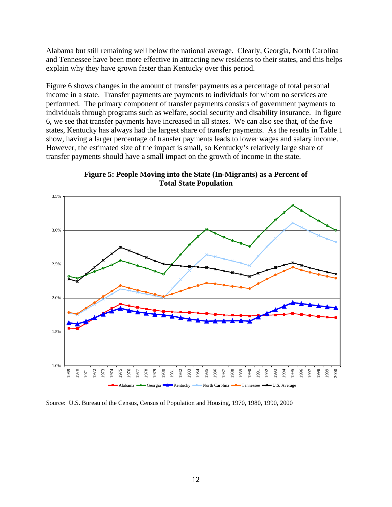Alabama but still remaining well below the national average. Clearly, Georgia, North Carolina and Tennessee have been more effective in attracting new residents to their states, and this helps explain why they have grown faster than Kentucky over this period.

Figure 6 shows changes in the amount of transfer payments as a percentage of total personal income in a state. Transfer payments are payments to individuals for whom no services are performed. The primary component of transfer payments consists of government payments to individuals through programs such as welfare, social security and disability insurance. In figure 6, we see that transfer payments have increased in all states. We can also see that, of the five states, Kentucky has always had the largest share of transfer payments. As the results in Table 1 show, having a larger percentage of transfer payments leads to lower wages and salary income. However, the estimated size of the impact is small, so Kentucky's relatively large share of transfer payments should have a small impact on the growth of income in the state.



**Figure 5: People Moving into the State (In-Migrants) as a Percent of Total State Population** 

Source: U.S. Bureau of the Census, Census of Population and Housing, 1970, 1980, 1990, 2000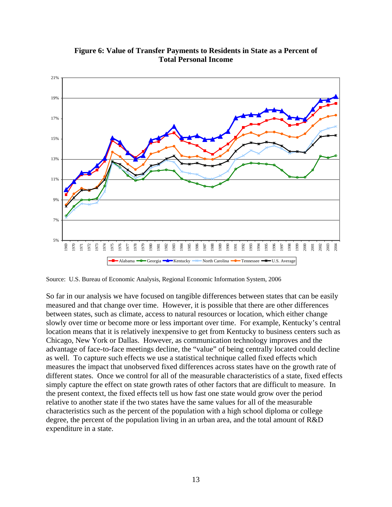

**Figure 6: Value of Transfer Payments to Residents in State as a Percent of Total Personal Income** 

Source: U.S. Bureau of Economic Analysis, Regional Economic Information System, 2006

So far in our analysis we have focused on tangible differences between states that can be easily measured and that change over time. However, it is possible that there are other differences between states, such as climate, access to natural resources or location, which either change slowly over time or become more or less important over time. For example, Kentucky's central location means that it is relatively inexpensive to get from Kentucky to business centers such as Chicago, New York or Dallas. However, as communication technology improves and the advantage of face-to-face meetings decline, the "value" of being centrally located could decline as well. To capture such effects we use a statistical technique called fixed effects which measures the impact that unobserved fixed differences across states have on the growth rate of different states. Once we control for all of the measurable characteristics of a state, fixed effects simply capture the effect on state growth rates of other factors that are difficult to measure. In the present context, the fixed effects tell us how fast one state would grow over the period relative to another state if the two states have the same values for all of the measurable characteristics such as the percent of the population with a high school diploma or college degree, the percent of the population living in an urban area, and the total amount of R&D expenditure in a state.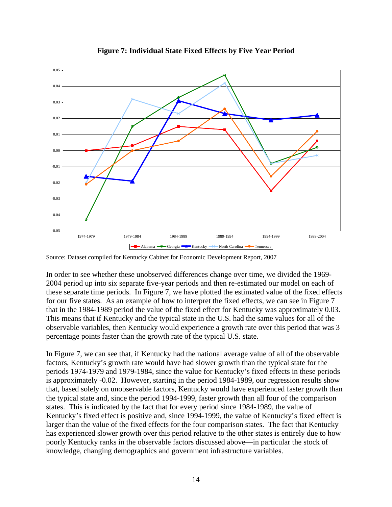

**Figure 7: Individual State Fixed Effects by Five Year Period** 

Source: Dataset compiled for Kentucky Cabinet for Economic Development Report, 2007

In order to see whether these unobserved differences change over time, we divided the 1969- 2004 period up into six separate five-year periods and then re-estimated our model on each of these separate time periods. In Figure 7, we have plotted the estimated value of the fixed effects for our five states. As an example of how to interpret the fixed effects, we can see in Figure 7 that in the 1984-1989 period the value of the fixed effect for Kentucky was approximately 0.03. This means that if Kentucky and the typical state in the U.S. had the same values for all of the observable variables, then Kentucky would experience a growth rate over this period that was 3 percentage points faster than the growth rate of the typical U.S. state.

In Figure 7, we can see that, if Kentucky had the national average value of all of the observable factors, Kentucky's growth rate would have had slower growth than the typical state for the periods 1974-1979 and 1979-1984, since the value for Kentucky's fixed effects in these periods is approximately -0.02. However, starting in the period 1984-1989, our regression results show that, based solely on unobservable factors, Kentucky would have experienced faster growth than the typical state and, since the period 1994-1999, faster growth than all four of the comparison states. This is indicated by the fact that for every period since 1984-1989, the value of Kentucky's fixed effect is positive and, since 1994-1999, the value of Kentucky's fixed effect is larger than the value of the fixed effects for the four comparison states. The fact that Kentucky has experienced slower growth over this period relative to the other states is entirely due to how poorly Kentucky ranks in the observable factors discussed above—in particular the stock of knowledge, changing demographics and government infrastructure variables.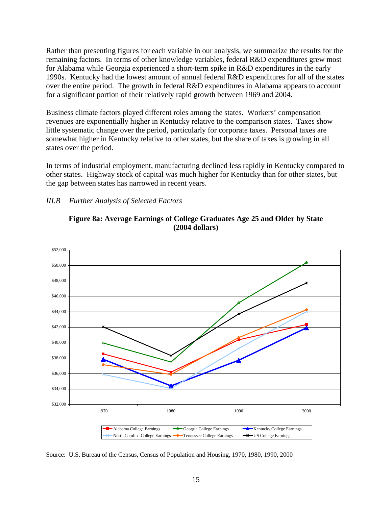Rather than presenting figures for each variable in our analysis, we summarize the results for the remaining factors. In terms of other knowledge variables, federal R&D expenditures grew most for Alabama while Georgia experienced a short-term spike in R&D expenditures in the early 1990s. Kentucky had the lowest amount of annual federal R&D expenditures for all of the states over the entire period. The growth in federal R&D expenditures in Alabama appears to account for a significant portion of their relatively rapid growth between 1969 and 2004.

Business climate factors played different roles among the states. Workers' compensation revenues are exponentially higher in Kentucky relative to the comparison states. Taxes show little systematic change over the period, particularly for corporate taxes. Personal taxes are somewhat higher in Kentucky relative to other states, but the share of taxes is growing in all states over the period.

In terms of industrial employment, manufacturing declined less rapidly in Kentucky compared to other states. Highway stock of capital was much higher for Kentucky than for other states, but the gap between states has narrowed in recent years.

#### *III.B Further Analysis of Selected Factors*



**Figure 8a: Average Earnings of College Graduates Age 25 and Older by State (2004 dollars)** 

Source: U.S. Bureau of the Census, Census of Population and Housing, 1970, 1980, 1990, 2000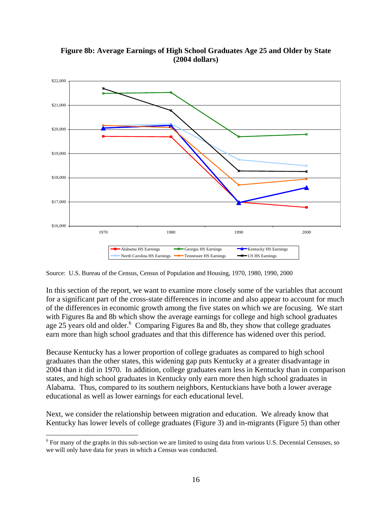

**Figure 8b: Average Earnings of High School Graduates Age 25 and Older by State (2004 dollars)** 

Source: U.S. Bureau of the Census, Census of Population and Housing, 1970, 1980, 1990, 2000

In this section of the report, we want to examine more closely some of the variables that account for a significant part of the cross-state differences in income and also appear to account for much of the differences in economic growth among the five states on which we are focusing. We start with Figures 8a and 8b which show the average earnings for college and high school graduates age 25 years old and older.<sup>6</sup> Comparing Figures 8a and 8b, they show that college graduates earn more than high school graduates and that this difference has widened over this period.

Because Kentucky has a lower proportion of college graduates as compared to high school graduates than the other states, this widening gap puts Kentucky at a greater disadvantage in 2004 than it did in 1970. In addition, college graduates earn less in Kentucky than in comparison states, and high school graduates in Kentucky only earn more then high school graduates in Alabama. Thus, compared to its southern neighbors, Kentuckians have both a lower average educational as well as lower earnings for each educational level.

Next, we consider the relationship between migration and education. We already know that Kentucky has lower levels of college graduates (Figure 3) and in-migrants (Figure 5) than other

 $\overline{a}$ <sup>6</sup> For many of the graphs in this sub-section we are limited to using data from various U.S. Decennial Censuses, so we will only have data for years in which a Census was conducted.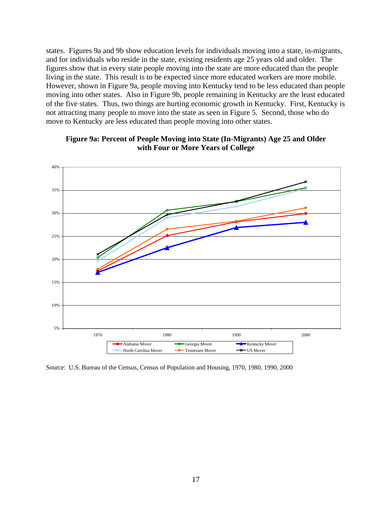states. Figures 9a and 9b show education levels for individuals moving into a state, in-migrants, and for individuals who reside in the state, existing residents age 25 years old and older. The figures show that in every state people moving into the state are more educated than the people living in the state. This result is to be expected since more educated workers are more mobile. However, shown in Figure 9a, people moving into Kentucky tend to be less educated than people moving into other states. Also in Figure 9b, people remaining in Kentucky are the least educated of the five states. Thus, two things are hurting economic growth in Kentucky. First, Kentucky is not attracting many people to move into the state as seen in Figure 5. Second, those who do move to Kentucky are less educated than people moving into other states.



#### **Figure 9a: Percent of People Moving into State (In-Migrants) Age 25 and Older with Four or More Years of College**

Source: U.S. Bureau of the Census, Census of Population and Housing, 1970, 1980, 1990, 2000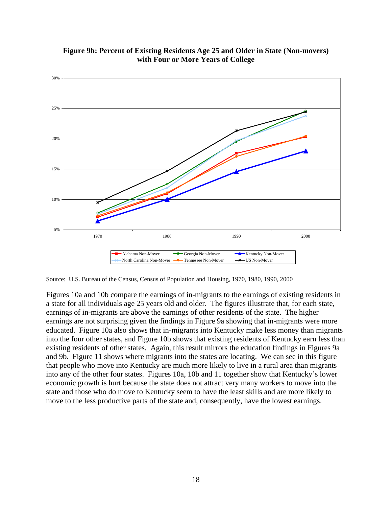

**Figure 9b: Percent of Existing Residents Age 25 and Older in State (Non-movers) with Four or More Years of College** 

Source: U.S. Bureau of the Census, Census of Population and Housing, 1970, 1980, 1990, 2000

Figures 10a and 10b compare the earnings of in-migrants to the earnings of existing residents in a state for all individuals age 25 years old and older. The figures illustrate that, for each state, earnings of in-migrants are above the earnings of other residents of the state. The higher earnings are not surprising given the findings in Figure 9a showing that in-migrants were more educated. Figure 10a also shows that in-migrants into Kentucky make less money than migrants into the four other states, and Figure 10b shows that existing residents of Kentucky earn less than existing residents of other states. Again, this result mirrors the education findings in Figures 9a and 9b. Figure 11 shows where migrants into the states are locating. We can see in this figure that people who move into Kentucky are much more likely to live in a rural area than migrants into any of the other four states. Figures 10a, 10b and 11 together show that Kentucky's lower economic growth is hurt because the state does not attract very many workers to move into the state and those who do move to Kentucky seem to have the least skills and are more likely to move to the less productive parts of the state and, consequently, have the lowest earnings.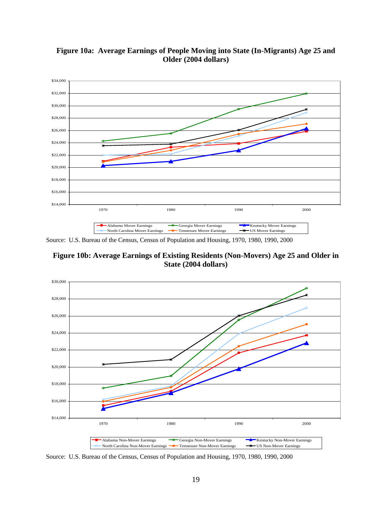

**Figure 10a: Average Earnings of People Moving into State (In-Migrants) Age 25 and Older (2004 dollars)** 

Source: U.S. Bureau of the Census, Census of Population and Housing, 1970, 1980, 1990, 2000

**Figure 10b: Average Earnings of Existing Residents (Non-Movers) Age 25 and Older in State (2004 dollars)** 



Source: U.S. Bureau of the Census, Census of Population and Housing, 1970, 1980, 1990, 2000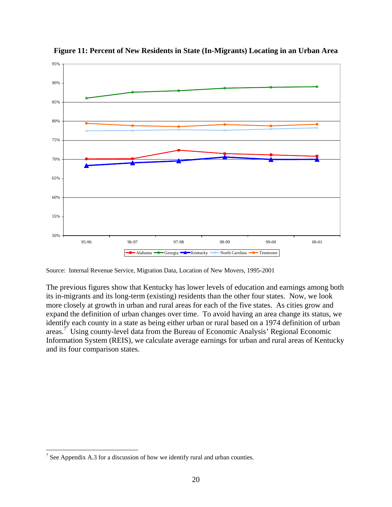

**Figure 11: Percent of New Residents in State (In-Migrants) Locating in an Urban Area** 

Source: Internal Revenue Service, Migration Data, Location of New Movers, 1995-2001

The previous figures show that Kentucky has lower levels of education and earnings among both its in-migrants and its long-term (existing) residents than the other four states. Now, we look more closely at growth in urban and rural areas for each of the five states. As cities grow and expand the definition of urban changes over time. To avoid having an area change its status, we identify each county in a state as being either urban or rural based on a 1974 definition of urban areas.<sup>7</sup> Using county-level data from the Bureau of Economic Analysis' Regional Economic Information System (REIS), we calculate average earnings for urban and rural areas of Kentucky and its four comparison states.

<sup>&</sup>lt;u>.</u> <sup>7</sup> See Appendix A.3 for a discussion of how we identify rural and urban counties.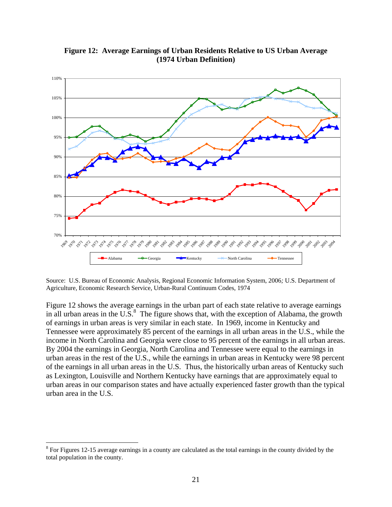

**Figure 12: Average Earnings of Urban Residents Relative to US Urban Average (1974 Urban Definition)** 

Source: U.S. Bureau of Economic Analysis, Regional Economic Information System, 2006*;* U.S. Department of Agriculture, Economic Research Service, Urban-Rural Continuum Codes, 1974

Figure 12 shows the average earnings in the urban part of each state relative to average earnings in all urban areas in the U.S. $<sup>8</sup>$  The figure shows that, with the exception of Alabama, the growth</sup> of earnings in urban areas is very similar in each state. In 1969, income in Kentucky and Tennessee were approximately 85 percent of the earnings in all urban areas in the U.S., while the income in North Carolina and Georgia were close to 95 percent of the earnings in all urban areas. By 2004 the earnings in Georgia, North Carolina and Tennessee were equal to the earnings in urban areas in the rest of the U.S., while the earnings in urban areas in Kentucky were 98 percent of the earnings in all urban areas in the U.S. Thus, the historically urban areas of Kentucky such as Lexington, Louisville and Northern Kentucky have earnings that are approximately equal to urban areas in our comparison states and have actually experienced faster growth than the typical urban area in the U.S.

1

 $8$  For Figures 12-15 average earnings in a county are calculated as the total earnings in the county divided by the total population in the county.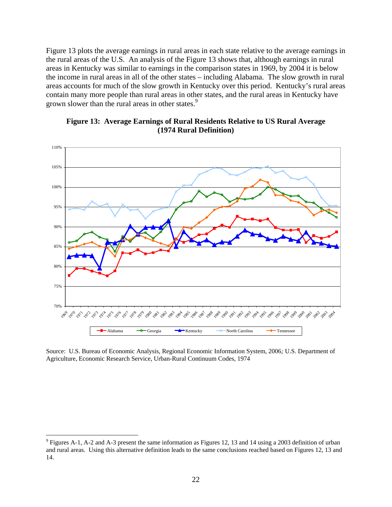Figure 13 plots the average earnings in rural areas in each state relative to the average earnings in the rural areas of the U.S. An analysis of the Figure 13 shows that, although earnings in rural areas in Kentucky was similar to earnings in the comparison states in 1969, by 2004 it is below the income in rural areas in all of the other states – including Alabama. The slow growth in rural areas accounts for much of the slow growth in Kentucky over this period. Kentucky's rural areas contain many more people than rural areas in other states, and the rural areas in Kentucky have grown slower than the rural areas in other states.<sup>9</sup>





Source: U.S. Bureau of Economic Analysis, Regional Economic Information System, 2006*;* U.S. Department of Agriculture, Economic Research Service, Urban-Rural Continuum Codes, 1974

 $\overline{a}$ 

 $9$  Figures A-1, A-2 and A-3 present the same information as Figures 12, 13 and 14 using a 2003 definition of urban and rural areas. Using this alternative definition leads to the same conclusions reached based on Figures 12, 13 and 14.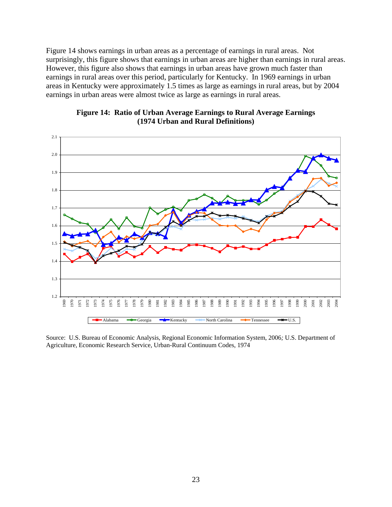Figure 14 shows earnings in urban areas as a percentage of earnings in rural areas. Not surprisingly, this figure shows that earnings in urban areas are higher than earnings in rural areas. However, this figure also shows that earnings in urban areas have grown much faster than earnings in rural areas over this period, particularly for Kentucky. In 1969 earnings in urban areas in Kentucky were approximately 1.5 times as large as earnings in rural areas, but by 2004 earnings in urban areas were almost twice as large as earnings in rural areas.





Source: U.S. Bureau of Economic Analysis, Regional Economic Information System, 2006*;* U.S. Department of Agriculture, Economic Research Service, Urban-Rural Continuum Codes, 1974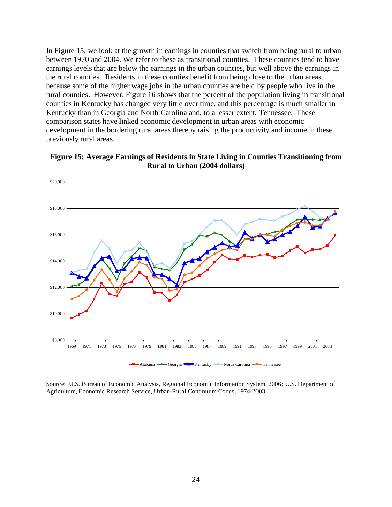In Figure 15, we look at the growth in earnings in counties that switch from being rural to urban between 1970 and 2004. We refer to these as transitional counties. These counties tend to have earnings levels that are below the earnings in the urban counties, but well above the earnings in the rural counties. Residents in these counties benefit from being close to the urban areas because some of the higher wage jobs in the urban counties are held by people who live in the rural counties. However, Figure 16 shows that the percent of the population living in transitional counties in Kentucky has changed very little over time, and this percentage is much smaller in Kentucky than in Georgia and North Carolina and, to a lesser extent, Tennessee. These comparison states have linked economic development in urban areas with economic development in the bordering rural areas thereby raising the productivity and income in these previously rural areas.



**Figure 15: Average Earnings of Residents in State Living in Counties Transitioning from Rural to Urban (2004 dollars)**

Source: U.S. Bureau of Economic Analysis, Regional Economic Information System, 2006*;* U.S. Department of Agriculture, Economic Research Service, Urban-Rural Continuum Codes, 1974-2003.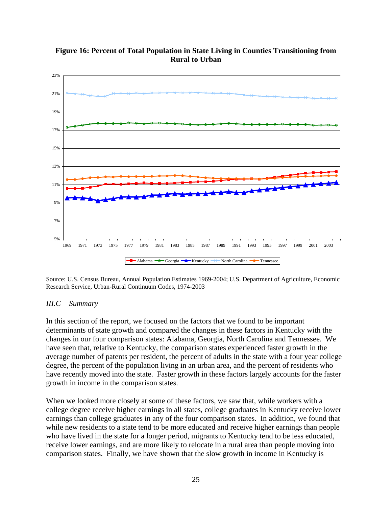

**Figure 16: Percent of Total Population in State Living in Counties Transitioning from Rural to Urban** 

Source: U.S. Census Bureau, Annual Population Estimates 1969-2004; U.S. Department of Agriculture, Economic Research Service, Urban-Rural Continuum Codes, 1974-2003

#### *III.C Summary*

In this section of the report, we focused on the factors that we found to be important determinants of state growth and compared the changes in these factors in Kentucky with the changes in our four comparison states: Alabama, Georgia, North Carolina and Tennessee. We have seen that, relative to Kentucky, the comparison states experienced faster growth in the average number of patents per resident, the percent of adults in the state with a four year college degree, the percent of the population living in an urban area, and the percent of residents who have recently moved into the state. Faster growth in these factors largely accounts for the faster growth in income in the comparison states.

When we looked more closely at some of these factors, we saw that, while workers with a college degree receive higher earnings in all states, college graduates in Kentucky receive lower earnings than college graduates in any of the four comparison states. In addition, we found that while new residents to a state tend to be more educated and receive higher earnings than people who have lived in the state for a longer period, migrants to Kentucky tend to be less educated, receive lower earnings, and are more likely to relocate in a rural area than people moving into comparison states. Finally, we have shown that the slow growth in income in Kentucky is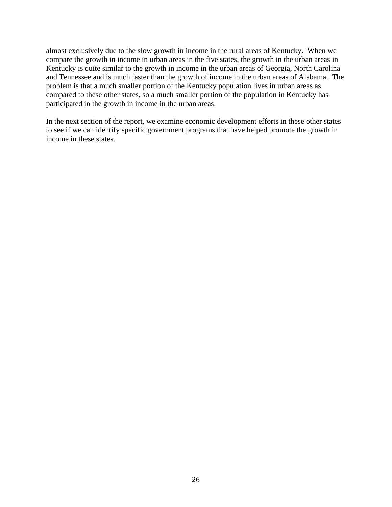almost exclusively due to the slow growth in income in the rural areas of Kentucky. When we compare the growth in income in urban areas in the five states, the growth in the urban areas in Kentucky is quite similar to the growth in income in the urban areas of Georgia, North Carolina and Tennessee and is much faster than the growth of income in the urban areas of Alabama. The problem is that a much smaller portion of the Kentucky population lives in urban areas as compared to these other states, so a much smaller portion of the population in Kentucky has participated in the growth in income in the urban areas.

In the next section of the report, we examine economic development efforts in these other states to see if we can identify specific government programs that have helped promote the growth in income in these states.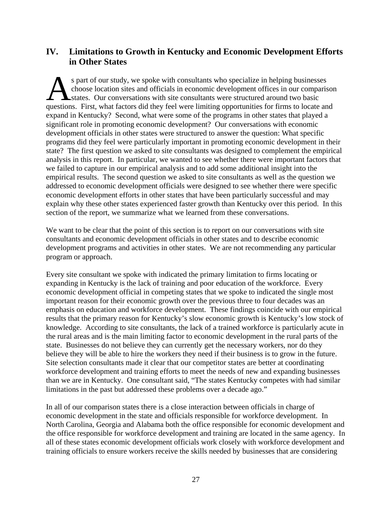## **IV. Limitations to Growth in Kentucky and Economic Development Efforts in Other States**

s part of our study, we spoke with consultants who specialize in helping businesses choose location sites and officials in economic development offices in our comparison states. Our conversations with site consultants were structured around two basic s part of our study, we spoke with consultants who specialize in helping businesses choose location sites and officials in economic development offices in our comparison states. Our conversations with site consultants were expand in Kentucky? Second, what were some of the programs in other states that played a significant role in promoting economic development? Our conversations with economic development officials in other states were structured to answer the question: What specific programs did they feel were particularly important in promoting economic development in their state? The first question we asked to site consultants was designed to complement the empirical analysis in this report. In particular, we wanted to see whether there were important factors that we failed to capture in our empirical analysis and to add some additional insight into the empirical results. The second question we asked to site consultants as well as the question we addressed to economic development officials were designed to see whether there were specific economic development efforts in other states that have been particularly successful and may explain why these other states experienced faster growth than Kentucky over this period. In this section of the report, we summarize what we learned from these conversations.

We want to be clear that the point of this section is to report on our conversations with site consultants and economic development officials in other states and to describe economic development programs and activities in other states. We are not recommending any particular program or approach.

Every site consultant we spoke with indicated the primary limitation to firms locating or expanding in Kentucky is the lack of training and poor education of the workforce. Every economic development official in competing states that we spoke to indicated the single most important reason for their economic growth over the previous three to four decades was an emphasis on education and workforce development. These findings coincide with our empirical results that the primary reason for Kentucky's slow economic growth is Kentucky's low stock of knowledge. According to site consultants, the lack of a trained workforce is particularly acute in the rural areas and is the main limiting factor to economic development in the rural parts of the state. Businesses do not believe they can currently get the necessary workers, nor do they believe they will be able to hire the workers they need if their business is to grow in the future. Site selection consultants made it clear that our competitor states are better at coordinating workforce development and training efforts to meet the needs of new and expanding businesses than we are in Kentucky. One consultant said, "The states Kentucky competes with had similar limitations in the past but addressed these problems over a decade ago."

In all of our comparison states there is a close interaction between officials in charge of economic development in the state and officials responsible for workforce development. In North Carolina, Georgia and Alabama both the office responsible for economic development and the office responsible for workforce development and training are located in the same agency. In all of these states economic development officials work closely with workforce development and training officials to ensure workers receive the skills needed by businesses that are considering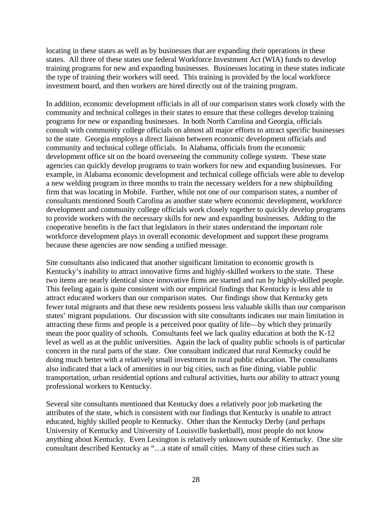locating in these states as well as by businesses that are expanding their operations in these states. All three of these states use federal Workforce Investment Act (WIA) funds to develop training programs for new and expanding businesses. Businesses locating in these states indicate the type of training their workers will need. This training is provided by the local workforce investment board, and then workers are hired directly out of the training program.

In addition, economic development officials in all of our comparison states work closely with the community and technical colleges in their states to ensure that these colleges develop training programs for new or expanding businesses. In both North Carolina and Georgia, officials consult with community college officials on almost all major efforts to attract specific businesses to the state. Georgia employs a direct liaison between economic development officials and community and technical college officials. In Alabama, officials from the economic development office sit on the board overseeing the community college system. These state agencies can quickly develop programs to train workers for new and expanding businesses. For example, in Alabama economic development and technical college officials were able to develop a new welding program in three months to train the necessary welders for a new shipbuilding firm that was locating in Mobile. Further, while not one of our comparison states, a number of consultants mentioned South Carolina as another state where economic development, workforce development and community college officials work closely together to quickly develop programs to provide workers with the necessary skills for new and expanding businesses. Adding to the cooperative benefits is the fact that legislators in their states understand the important role workforce development plays in overall economic development and support these programs because these agencies are now sending a unified message.

Site consultants also indicated that another significant limitation to economic growth is Kentucky's inability to attract innovative firms and highly-skilled workers to the state. These two items are nearly identical since innovative firms are started and run by highly-skilled people. This feeling again is quite consistent with our empirical findings that Kentucky is less able to attract educated workers than our comparison states. Our findings show that Kentucky gets fewer total migrants and that these new residents possess less valuable skills than our comparison states' migrant populations. Our discussion with site consultants indicates our main limitation in attracting these firms and people is a perceived poor quality of life—by which they primarily mean the poor quality of schools. Consultants feel we lack quality education at both the K-12 level as well as at the public universities. Again the lack of quality public schools is of particular concern in the rural parts of the state. One consultant indicated that rural Kentucky could be doing much better with a relatively small investment in rural public education. The consultants also indicated that a lack of amenities in our big cities, such as fine dining, viable public transportation, urban residential options and cultural activities, hurts our ability to attract young professional workers to Kentucky.

Several site consultants mentioned that Kentucky does a relatively poor job marketing the attributes of the state, which is consistent with our findings that Kentucky is unable to attract educated, highly skilled people to Kentucky. Other than the Kentucky Derby (and perhaps University of Kentucky and University of Louisville basketball), most people do not know anything about Kentucky. Even Lexington is relatively unknown outside of Kentucky. One site consultant described Kentucky as "…a state of small cities. Many of these cities such as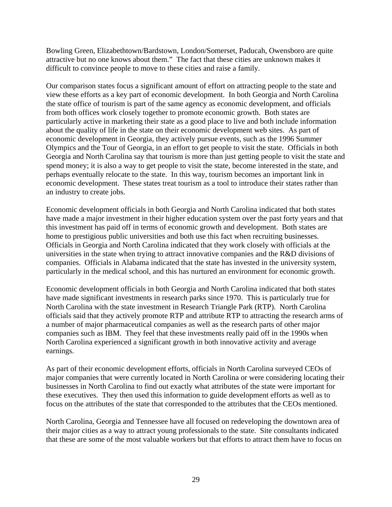Bowling Green, Elizabethtown/Bardstown, London/Somerset, Paducah, Owensboro are quite attractive but no one knows about them." The fact that these cities are unknown makes it difficult to convince people to move to these cities and raise a family.

Our comparison states focus a significant amount of effort on attracting people to the state and view these efforts as a key part of economic development. In both Georgia and North Carolina the state office of tourism is part of the same agency as economic development, and officials from both offices work closely together to promote economic growth. Both states are particularly active in marketing their state as a good place to live and both include information about the quality of life in the state on their economic development web sites. As part of economic development in Georgia, they actively pursue events, such as the 1996 Summer Olympics and the Tour of Georgia, in an effort to get people to visit the state. Officials in both Georgia and North Carolina say that tourism is more than just getting people to visit the state and spend money; it is also a way to get people to visit the state, become interested in the state, and perhaps eventually relocate to the state. In this way, tourism becomes an important link in economic development. These states treat tourism as a tool to introduce their states rather than an industry to create jobs.

Economic development officials in both Georgia and North Carolina indicated that both states have made a major investment in their higher education system over the past forty years and that this investment has paid off in terms of economic growth and development. Both states are home to prestigious public universities and both use this fact when recruiting businesses. Officials in Georgia and North Carolina indicated that they work closely with officials at the universities in the state when trying to attract innovative companies and the R&D divisions of companies. Officials in Alabama indicated that the state has invested in the university system, particularly in the medical school, and this has nurtured an environment for economic growth.

Economic development officials in both Georgia and North Carolina indicated that both states have made significant investments in research parks since 1970. This is particularly true for North Carolina with the state investment in Research Triangle Park (RTP). North Carolina officials said that they actively promote RTP and attribute RTP to attracting the research arms of a number of major pharmaceutical companies as well as the research parts of other major companies such as IBM. They feel that these investments really paid off in the 1990s when North Carolina experienced a significant growth in both innovative activity and average earnings.

As part of their economic development efforts, officials in North Carolina surveyed CEOs of major companies that were currently located in North Carolina or were considering locating their businesses in North Carolina to find out exactly what attributes of the state were important for these executives. They then used this information to guide development efforts as well as to focus on the attributes of the state that corresponded to the attributes that the CEOs mentioned.

North Carolina, Georgia and Tennessee have all focused on redeveloping the downtown area of their major cities as a way to attract young professionals to the state. Site consultants indicated that these are some of the most valuable workers but that efforts to attract them have to focus on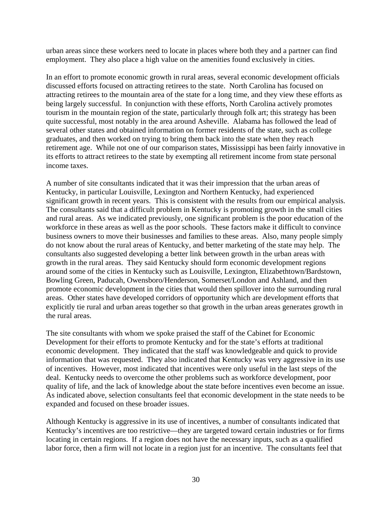urban areas since these workers need to locate in places where both they and a partner can find employment. They also place a high value on the amenities found exclusively in cities.

In an effort to promote economic growth in rural areas, several economic development officials discussed efforts focused on attracting retirees to the state. North Carolina has focused on attracting retirees to the mountain area of the state for a long time, and they view these efforts as being largely successful. In conjunction with these efforts, North Carolina actively promotes tourism in the mountain region of the state, particularly through folk art; this strategy has been quite successful, most notably in the area around Asheville. Alabama has followed the lead of several other states and obtained information on former residents of the state, such as college graduates, and then worked on trying to bring them back into the state when they reach retirement age. While not one of our comparison states, Mississippi has been fairly innovative in its efforts to attract retirees to the state by exempting all retirement income from state personal income taxes.

A number of site consultants indicated that it was their impression that the urban areas of Kentucky, in particular Louisville, Lexington and Northern Kentucky, had experienced significant growth in recent years. This is consistent with the results from our empirical analysis. The consultants said that a difficult problem in Kentucky is promoting growth in the small cities and rural areas. As we indicated previously, one significant problem is the poor education of the workforce in these areas as well as the poor schools. These factors make it difficult to convince business owners to move their businesses and families to these areas. Also, many people simply do not know about the rural areas of Kentucky, and better marketing of the state may help. The consultants also suggested developing a better link between growth in the urban areas with growth in the rural areas. They said Kentucky should form economic development regions around some of the cities in Kentucky such as Louisville, Lexington, Elizabethtown/Bardstown, Bowling Green, Paducah, Owensboro/Henderson, Somerset/London and Ashland, and then promote economic development in the cities that would then spillover into the surrounding rural areas. Other states have developed corridors of opportunity which are development efforts that explicitly tie rural and urban areas together so that growth in the urban areas generates growth in the rural areas.

The site consultants with whom we spoke praised the staff of the Cabinet for Economic Development for their efforts to promote Kentucky and for the state's efforts at traditional economic development. They indicated that the staff was knowledgeable and quick to provide information that was requested. They also indicated that Kentucky was very aggressive in its use of incentives. However, most indicated that incentives were only useful in the last steps of the deal. Kentucky needs to overcome the other problems such as workforce development, poor quality of life, and the lack of knowledge about the state before incentives even become an issue. As indicated above, selection consultants feel that economic development in the state needs to be expanded and focused on these broader issues.

Although Kentucky is aggressive in its use of incentives, a number of consultants indicated that Kentucky's incentives are too restrictive—they are targeted toward certain industries or for firms locating in certain regions. If a region does not have the necessary inputs, such as a qualified labor force, then a firm will not locate in a region just for an incentive. The consultants feel that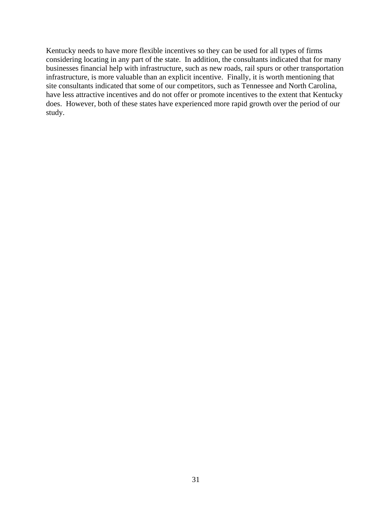Kentucky needs to have more flexible incentives so they can be used for all types of firms considering locating in any part of the state. In addition, the consultants indicated that for many businesses financial help with infrastructure, such as new roads, rail spurs or other transportation infrastructure, is more valuable than an explicit incentive. Finally, it is worth mentioning that site consultants indicated that some of our competitors, such as Tennessee and North Carolina, have less attractive incentives and do not offer or promote incentives to the extent that Kentucky does. However, both of these states have experienced more rapid growth over the period of our study.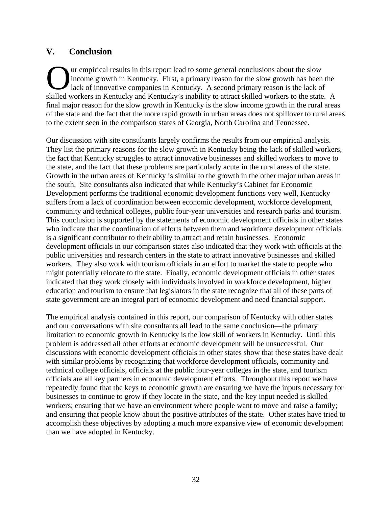### **V. Conclusion**

ur empirical results in this report lead to some general conclusions about the slow income growth in Kentucky. First, a primary reason for the slow growth has been the lack of innovative companies in Kentucky. A second primary reason is the lack of The urempirical results in this report lead to some general conclusions about the slow income growth in Kentucky. First, a primary reason for the slow growth has been the lack of innovative companies in Kentucky. A second final major reason for the slow growth in Kentucky is the slow income growth in the rural areas of the state and the fact that the more rapid growth in urban areas does not spillover to rural areas to the extent seen in the comparison states of Georgia, North Carolina and Tennessee.

Our discussion with site consultants largely confirms the results from our empirical analysis. They list the primary reasons for the slow growth in Kentucky being the lack of skilled workers, the fact that Kentucky struggles to attract innovative businesses and skilled workers to move to the state, and the fact that these problems are particularly acute in the rural areas of the state. Growth in the urban areas of Kentucky is similar to the growth in the other major urban areas in the south. Site consultants also indicated that while Kentucky's Cabinet for Economic Development performs the traditional economic development functions very well, Kentucky suffers from a lack of coordination between economic development, workforce development, community and technical colleges, public four-year universities and research parks and tourism. This conclusion is supported by the statements of economic development officials in other states who indicate that the coordination of efforts between them and workforce development officials is a significant contributor to their ability to attract and retain businesses. Economic development officials in our comparison states also indicated that they work with officials at the public universities and research centers in the state to attract innovative businesses and skilled workers. They also work with tourism officials in an effort to market the state to people who might potentially relocate to the state. Finally, economic development officials in other states indicated that they work closely with individuals involved in workforce development, higher education and tourism to ensure that legislators in the state recognize that all of these parts of state government are an integral part of economic development and need financial support.

The empirical analysis contained in this report, our comparison of Kentucky with other states and our conversations with site consultants all lead to the same conclusion—the primary limitation to economic growth in Kentucky is the low skill of workers in Kentucky. Until this problem is addressed all other efforts at economic development will be unsuccessful. Our discussions with economic development officials in other states show that these states have dealt with similar problems by recognizing that workforce development officials, community and technical college officials, officials at the public four-year colleges in the state, and tourism officials are all key partners in economic development efforts. Throughout this report we have repeatedly found that the keys to economic growth are ensuring we have the inputs necessary for businesses to continue to grow if they locate in the state, and the key input needed is skilled workers; ensuring that we have an environment where people want to move and raise a family; and ensuring that people know about the positive attributes of the state. Other states have tried to accomplish these objectives by adopting a much more expansive view of economic development than we have adopted in Kentucky.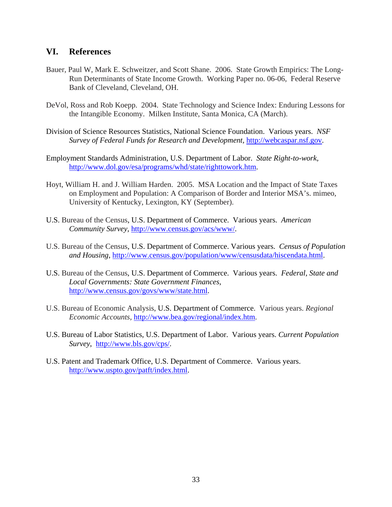### **VI. References**

- Bauer, Paul W, Mark E. Schweitzer, and Scott Shane. 2006. State Growth Empirics: The Long-Run Determinants of State Income Growth. Working Paper no. 06-06, Federal Reserve Bank of Cleveland, Cleveland, OH.
- DeVol, Ross and Rob Koepp. 2004. State Technology and Science Index: Enduring Lessons for the Intangible Economy. Milken Institute, Santa Monica, CA (March).
- Division of Science Resources Statistics, National Science Foundation. Various years. *NSF Survey of Federal Funds for Research and Development,* http://webcaspar.nsf.gov.
- Employment Standards Administration, U.S. Department of Labor. *State Right-to-work,* http://www.dol.gov/esa/programs/whd/state/righttowork.htm.
- Hoyt, William H. and J. William Harden. 2005. MSA Location and the Impact of State Taxes on Employment and Population: A Comparison of Border and Interior MSA's. mimeo, University of Kentucky, Lexington, KY (September).
- U.S. Bureau of the Census, U.S. Department of Commerce. Various years. *American Community Survey,* http://www.census.gov/acs/www/.
- U.S. Bureau of the Census, U.S. Department of Commerce. Various years. *Census of Population and Housing*, http://www.census.gov/population/www/censusdata/hiscendata.html.
- U.S. Bureau of the Census, U.S. Department of Commerce. Various years. *Federal, State and Local Governments: State Government Finances,* http://www.census.gov/govs/www/state.html.
- U.S. Bureau of Economic Analysis, U.S. Department of Commerce. Various years. *Regional Economic Accounts,* http://www.bea.gov/regional/index.htm.
- U.S. Bureau of Labor Statistics, U.S. Department of Labor. Various years. *Current Population Survey*, http://www.bls.gov/cps/.
- U.S. Patent and Trademark Office, U.S. Department of Commerce. Various years. http://www.uspto.gov/patft/index.html.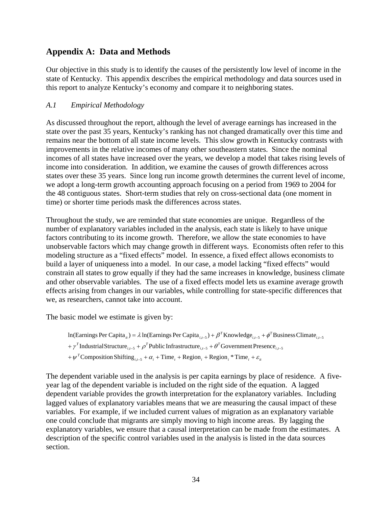### **Appendix A: Data and Methods**

Our objective in this study is to identify the causes of the persistently low level of income in the state of Kentucky. This appendix describes the empirical methodology and data sources used in this report to analyze Kentucky's economy and compare it to neighboring states.

### *A.1 Empirical Methodology*

As discussed throughout the report, although the level of average earnings has increased in the state over the past 35 years, Kentucky's ranking has not changed dramatically over this time and remains near the bottom of all state income levels. This slow growth in Kentucky contrasts with improvements in the relative incomes of many other southeastern states. Since the nominal incomes of all states have increased over the years, we develop a model that takes rising levels of income into consideration. In addition, we examine the causes of growth differences across states over these 35 years. Since long run income growth determines the current level of income, we adopt a long-term growth accounting approach focusing on a period from 1969 to 2004 for the 48 contiguous states. Short-term studies that rely on cross-sectional data (one moment in time) or shorter time periods mask the differences across states.

Throughout the study, we are reminded that state economies are unique. Regardless of the number of explanatory variables included in the analysis, each state is likely to have unique factors contributing to its income growth. Therefore, we allow the state economies to have unobservable factors which may change growth in different ways. Economists often refer to this modeling structure as a "fixed effects" model. In essence, a fixed effect allows economists to build a layer of uniqueness into a model. In our case, a model lacking "fixed effects" would constrain all states to grow equally if they had the same increases in knowledge, business climate and other observable variables. The use of a fixed effects model lets us examine average growth effects arising from changes in our variables, while controlling for state-specific differences that we, as researchers, cannot take into account.

The basic model we estimate is given by:

```
+\psi^TComposition Shifting<sub>i<sub>i</sub>-5</sub> + \alpha_i + Time<sub>i</sub> + Region<sub>i</sub> + Region<sub>i</sub> * Time<sub>i</sub> + \varepsilon_i+ \gamma^TIndustrialStructure \sum_{i,t=5} + \rho^TPublic Infrastructure \sum_{i,t=5} + \theta^TGovernment Presence \sum_{i,t=5}\ln(\text{Earnings Per Capita}_{it}) = \lambda \ln(\text{Earnings Per Capita}_{i,t-5}) + \beta^T \text{Knowledge}_{i,t-5} + \phi^T \text{Business Climate}_{i,t-5}
```
The dependent variable used in the analysis is per capita earnings by place of residence. A fiveyear lag of the dependent variable is included on the right side of the equation. A lagged dependent variable provides the growth interpretation for the explanatory variables. Including lagged values of explanatory variables means that we are measuring the causal impact of these variables. For example, if we included current values of migration as an explanatory variable one could conclude that migrants are simply moving to high income areas. By lagging the explanatory variables, we ensure that a causal interpretation can be made from the estimates. A description of the specific control variables used in the analysis is listed in the data sources section.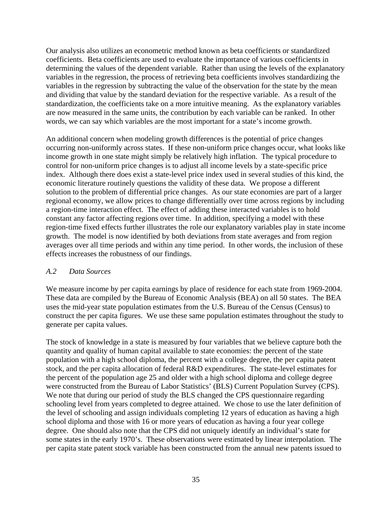Our analysis also utilizes an econometric method known as beta coefficients or standardized coefficients. Beta coefficients are used to evaluate the importance of various coefficients in determining the values of the dependent variable. Rather than using the levels of the explanatory variables in the regression, the process of retrieving beta coefficients involves standardizing the variables in the regression by subtracting the value of the observation for the state by the mean and dividing that value by the standard deviation for the respective variable. As a result of the standardization, the coefficients take on a more intuitive meaning. As the explanatory variables are now measured in the same units, the contribution by each variable can be ranked. In other words, we can say which variables are the most important for a state's income growth.

An additional concern when modeling growth differences is the potential of price changes occurring non-uniformly across states. If these non-uniform price changes occur, what looks like income growth in one state might simply be relatively high inflation. The typical procedure to control for non-uniform price changes is to adjust all income levels by a state-specific price index. Although there does exist a state-level price index used in several studies of this kind, the economic literature routinely questions the validity of these data. We propose a different solution to the problem of differential price changes. As our state economies are part of a larger regional economy, we allow prices to change differentially over time across regions by including a region-time interaction effect. The effect of adding these interacted variables is to hold constant any factor affecting regions over time. In addition, specifying a model with these region-time fixed effects further illustrates the role our explanatory variables play in state income growth. The model is now identified by both deviations from state averages and from region averages over all time periods and within any time period. In other words, the inclusion of these effects increases the robustness of our findings.

#### *A.2 Data Sources*

We measure income by per capita earnings by place of residence for each state from 1969-2004. These data are compiled by the Bureau of Economic Analysis (BEA) on all 50 states. The BEA uses the mid-year state population estimates from the U.S. Bureau of the Census (Census) to construct the per capita figures. We use these same population estimates throughout the study to generate per capita values.

The stock of knowledge in a state is measured by four variables that we believe capture both the quantity and quality of human capital available to state economies: the percent of the state population with a high school diploma, the percent with a college degree, the per capita patent stock, and the per capita allocation of federal R&D expenditures. The state-level estimates for the percent of the population age 25 and older with a high school diploma and college degree were constructed from the Bureau of Labor Statistics' (BLS) Current Population Survey (CPS). We note that during our period of study the BLS changed the CPS questionnaire regarding schooling level from years completed to degree attained. We chose to use the later definition of the level of schooling and assign individuals completing 12 years of education as having a high school diploma and those with 16 or more years of education as having a four year college degree. One should also note that the CPS did not uniquely identify an individual's state for some states in the early 1970's. These observations were estimated by linear interpolation. The per capita state patent stock variable has been constructed from the annual new patents issued to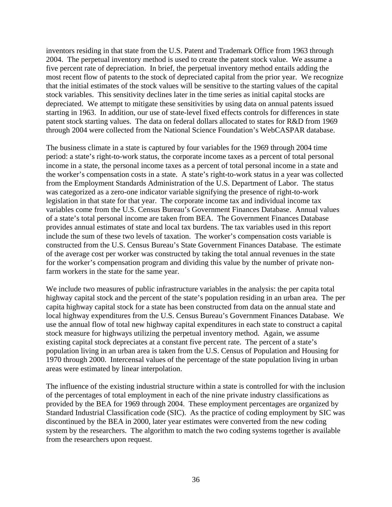inventors residing in that state from the U.S. Patent and Trademark Office from 1963 through 2004. The perpetual inventory method is used to create the patent stock value. We assume a five percent rate of depreciation. In brief, the perpetual inventory method entails adding the most recent flow of patents to the stock of depreciated capital from the prior year. We recognize that the initial estimates of the stock values will be sensitive to the starting values of the capital stock variables. This sensitivity declines later in the time series as initial capital stocks are depreciated. We attempt to mitigate these sensitivities by using data on annual patents issued starting in 1963. In addition, our use of state-level fixed effects controls for differences in state patent stock starting values. The data on federal dollars allocated to states for R&D from 1969 through 2004 were collected from the National Science Foundation's WebCASPAR database.

The business climate in a state is captured by four variables for the 1969 through 2004 time period: a state's right-to-work status, the corporate income taxes as a percent of total personal income in a state, the personal income taxes as a percent of total personal income in a state and the worker's compensation costs in a state. A state's right-to-work status in a year was collected from the Employment Standards Administration of the U.S. Department of Labor. The status was categorized as a zero-one indicator variable signifying the presence of right-to-work legislation in that state for that year. The corporate income tax and individual income tax variables come from the U.S. Census Bureau's Government Finances Database. Annual values of a state's total personal income are taken from BEA. The Government Finances Database provides annual estimates of state and local tax burdens. The tax variables used in this report include the sum of these two levels of taxation. The worker's compensation costs variable is constructed from the U.S. Census Bureau's State Government Finances Database. The estimate of the average cost per worker was constructed by taking the total annual revenues in the state for the worker's compensation program and dividing this value by the number of private nonfarm workers in the state for the same year.

We include two measures of public infrastructure variables in the analysis: the per capita total highway capital stock and the percent of the state's population residing in an urban area. The per capita highway capital stock for a state has been constructed from data on the annual state and local highway expenditures from the U.S. Census Bureau's Government Finances Database. We use the annual flow of total new highway capital expenditures in each state to construct a capital stock measure for highways utilizing the perpetual inventory method. Again, we assume existing capital stock depreciates at a constant five percent rate. The percent of a state's population living in an urban area is taken from the U.S. Census of Population and Housing for 1970 through 2000. Intercensal values of the percentage of the state population living in urban areas were estimated by linear interpolation.

The influence of the existing industrial structure within a state is controlled for with the inclusion of the percentages of total employment in each of the nine private industry classifications as provided by the BEA for 1969 through 2004. These employment percentages are organized by Standard Industrial Classification code (SIC). As the practice of coding employment by SIC was discontinued by the BEA in 2000, later year estimates were converted from the new coding system by the researchers. The algorithm to match the two coding systems together is available from the researchers upon request.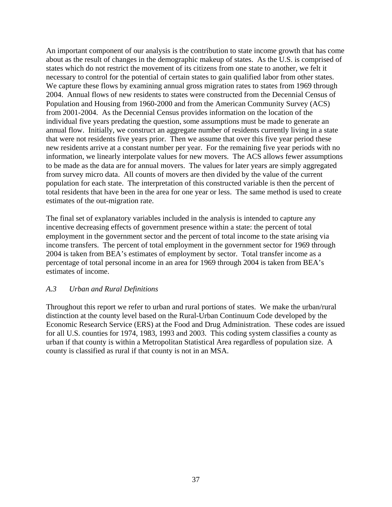An important component of our analysis is the contribution to state income growth that has come about as the result of changes in the demographic makeup of states. As the U.S. is comprised of states which do not restrict the movement of its citizens from one state to another, we felt it necessary to control for the potential of certain states to gain qualified labor from other states. We capture these flows by examining annual gross migration rates to states from 1969 through 2004. Annual flows of new residents to states were constructed from the Decennial Census of Population and Housing from 1960-2000 and from the American Community Survey (ACS) from 2001-2004. As the Decennial Census provides information on the location of the individual five years predating the question, some assumptions must be made to generate an annual flow. Initially, we construct an aggregate number of residents currently living in a state that were not residents five years prior. Then we assume that over this five year period these new residents arrive at a constant number per year. For the remaining five year periods with no information, we linearly interpolate values for new movers. The ACS allows fewer assumptions to be made as the data are for annual movers. The values for later years are simply aggregated from survey micro data. All counts of movers are then divided by the value of the current population for each state. The interpretation of this constructed variable is then the percent of total residents that have been in the area for one year or less. The same method is used to create estimates of the out-migration rate.

The final set of explanatory variables included in the analysis is intended to capture any incentive decreasing effects of government presence within a state: the percent of total employment in the government sector and the percent of total income to the state arising via income transfers. The percent of total employment in the government sector for 1969 through 2004 is taken from BEA's estimates of employment by sector. Total transfer income as a percentage of total personal income in an area for 1969 through 2004 is taken from BEA's estimates of income.

#### *A.3 Urban and Rural Definitions*

Throughout this report we refer to urban and rural portions of states. We make the urban/rural distinction at the county level based on the Rural-Urban Continuum Code developed by the Economic Research Service (ERS) at the Food and Drug Administration. These codes are issued for all U.S. counties for 1974, 1983, 1993 and 2003. This coding system classifies a county as urban if that county is within a Metropolitan Statistical Area regardless of population size. A county is classified as rural if that county is not in an MSA.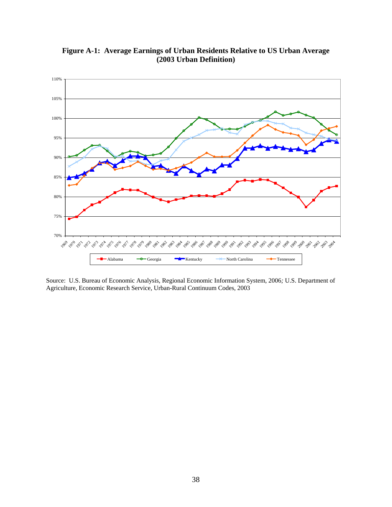

**Figure A-1: Average Earnings of Urban Residents Relative to US Urban Average (2003 Urban Definition)** 

Source: U.S. Bureau of Economic Analysis, Regional Economic Information System, 2006*;* U.S. Department of Agriculture, Economic Research Service, Urban-Rural Continuum Codes, 2003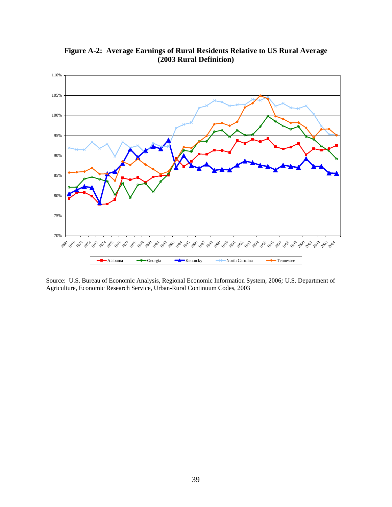

**Figure A-2: Average Earnings of Rural Residents Relative to US Rural Average (2003 Rural Definition)** 

Source: U.S. Bureau of Economic Analysis, Regional Economic Information System, 2006*;* U.S. Department of Agriculture, Economic Research Service, Urban-Rural Continuum Codes, 2003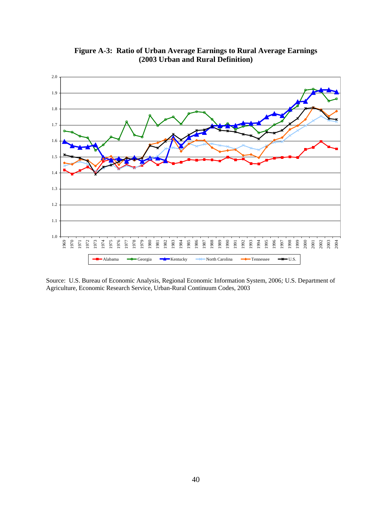

**Figure A-3: Ratio of Urban Average Earnings to Rural Average Earnings (2003 Urban and Rural Definition)** 

Source: U.S. Bureau of Economic Analysis, Regional Economic Information System, 2006*;* U.S. Department of Agriculture, Economic Research Service, Urban-Rural Continuum Codes, 2003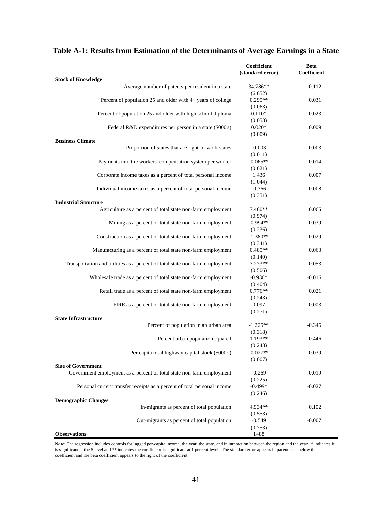|                                                                              | Coefficient      | Beta        |
|------------------------------------------------------------------------------|------------------|-------------|
|                                                                              | (standard error) | Coefficient |
| <b>Stock of Knowledge</b>                                                    |                  |             |
| Average number of patents per resident in a state                            | 34.786**         | 0.112       |
|                                                                              | (6.652)          |             |
| Percent of population 25 and older with 4+ years of college                  | $0.295**$        | 0.031       |
|                                                                              | (0.063)          |             |
| Percent of population 25 and older with high school diploma                  | $0.110*$         | 0.023       |
|                                                                              | (0.053)          |             |
| Federal R&D expenditures per person in a state (\$000's)                     | $0.020*$         | 0.009       |
|                                                                              | (0.009)          |             |
| <b>Business Climate</b>                                                      |                  |             |
| Proportion of states that are right-to-work states                           | $-0.003$         | $-0.003$    |
|                                                                              | (0.011)          |             |
| Payments into the workers' compensation system per worker                    | $-0.065**$       | $-0.014$    |
|                                                                              | (0.021)          |             |
| Corporate income taxes as a percent of total personal income                 | 1.436            | 0.007       |
|                                                                              | (1.044)          |             |
| Individual income taxes as a percent of total personal income                | $-0.366$         | $-0.008$    |
|                                                                              | (0.351)          |             |
| <b>Industrial Structure</b>                                                  |                  |             |
| Agriculture as a percent of total state non-farm employment                  | 7.460**          | 0.065       |
|                                                                              | (0.974)          |             |
| Mining as a percent of total state non-farm employment                       | $-0.994**$       | $-0.039$    |
|                                                                              | (0.236)          |             |
| Construction as a percent of total state non-farm employment                 | $-1.380**$       | $-0.029$    |
|                                                                              | (0.341)          |             |
| Manufacturing as a percent of total state non-farm employment                | $0.485**$        | 0.063       |
|                                                                              | (0.140)          |             |
| Transportation and utilities as a percent of total state non-farm employment | 3.273**          | 0.053       |
|                                                                              | (0.506)          |             |
| Wholesale trade as a percent of total state non-farm employment              | $-0.930*$        | $-0.016$    |
|                                                                              | (0.404)          |             |
| Retail trade as a percent of total state non-farm employment                 | $0.776**$        | 0.021       |
|                                                                              | (0.243)          |             |
| FIRE as a percent of total state non-farm employment                         | 0.097            | 0.003       |
|                                                                              | (0.271)          |             |
| <b>State Infrastructure</b>                                                  |                  |             |
| Percent of population in an urban area                                       | $-1.225**$       | $-0.346$    |
|                                                                              | (0.318)          |             |
| Percent urban population squared                                             | 1.193**          | 0.446       |
|                                                                              | (0.243)          |             |
| Per capita total highway capital stock (\$000's)                             | $-0.027**$       | $-0.039$    |
|                                                                              | (0.007)          |             |
| <b>Size of Government</b>                                                    |                  |             |
| Government employment as a percent of total state non-farm employment        | $-0.269$         | $-0.019$    |
|                                                                              | (0.225)          |             |
| Personal current transfer receipts as a percent of total personal income     | $-0.499*$        | $-0.027$    |
|                                                                              | (0.246)          |             |
| <b>Demographic Changes</b>                                                   |                  |             |
| In-migrants as percent of total population                                   | 4.934**          | 0.102       |
|                                                                              | (0.553)          |             |
| Out-migrants as percent of total population                                  | $-0.549$         | $-0.007$    |
|                                                                              | (0.753)          |             |
| <b>Observations</b>                                                          | 1488             |             |

### **Table A-1: Results from Estimation of the Determinants of Average Earnings in a State**

Note: The regression includes controls for lagged per-capita income, the year, the state, and in interaction between the region and the year. \* indicates it is significant at the 5 level and \*\* indicates the coefficient is significant at 1 percent level. The standard error appears in parenthesis below the coefficient and the beta coefficient appears to the right of the coefficient.